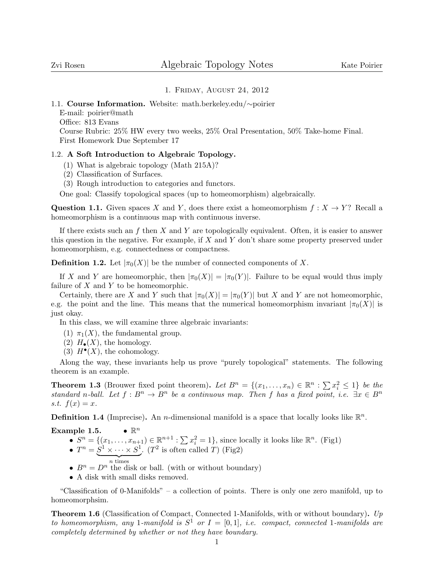## 1. Friday, August 24, 2012

1.1. Course Information. Website: math.berkeley.edu/∼poirier

E-mail: poirier@math

Office: 813 Evans

Course Rubric: 25% HW every two weeks, 25% Oral Presentation, 50% Take-home Final. First Homework Due September 17

# 1.2. A Soft Introduction to Algebraic Topology.

- (1) What is algebraic topology (Math 215A)?
- (2) Classification of Surfaces.
- (3) Rough introduction to categories and functors.

One goal: Classify topological spaces (up to homeomorphism) algebraically.

Question 1.1. Given spaces X and Y, does there exist a homeomorphism  $f: X \to Y$ ? Recall a homeomorphism is a continuous map with continuous inverse.

If there exists such an f then X and Y are topologically equivalent. Often, it is easier to answer this question in the negative. For example, if  $X$  and  $Y$  don't share some property preserved under homeomorphism, e.g. connectedness or compactness.

**Definition 1.2.** Let  $|\pi_0(X)|$  be the number of connected components of X.

If X and Y are homeomorphic, then  $|\pi_0(X)| = |\pi_0(Y)|$ . Failure to be equal would thus imply failure of  $X$  and  $Y$  to be homeomorphic.

Certainly, there are X and Y such that  $|\pi_0(X)| = |\pi_0(Y)|$  but X and Y are not homeomorphic, e.g. the point and the line. This means that the numerical homeomorphism invariant  $|\pi_0(X)|$  is just okay.

In this class, we will examine three algebraic invariants:

- (1)  $\pi_1(X)$ , the fundamental group.
- (2)  $H_{\bullet}(X)$ , the homology.
- (3)  $H^{\bullet}(X)$ , the cohomology.

Along the way, these invariants help us prove "purely topological" statements. The following theorem is an example.

**Theorem 1.3** (Brouwer fixed point theorem). Let  $B^n = \{(x_1, \ldots, x_n) \in \mathbb{R}^n : \sum x_i^2 \leq 1\}$  be the standard n-ball. Let  $f : B^n \to B^n$  be a continuous map. Then f has a fixed point, i.e.  $\exists x \in B^n$ s.t.  $f(x) = x$ .

**Definition 1.4** (Imprecise). An *n*-dimensional manifold is a space that locally looks like  $\mathbb{R}^n$ .

Example 1.5.  $\bullet \mathbb{R}$  $\bullet\; \mathbb{R}^n$ 

- $\bullet$   $S^n = \{(x_1, \ldots, x_{n+1}) \in \mathbb{R}^{n+1} : \sum x_i^2 = 1\}$ , since locally it looks like  $\mathbb{R}^n$ . (Fig1) •  $T^n = S^1 \times \cdots \times S^1$ . ( $T^2$  is often called T) (Fig2)  $\overbrace{n \text{ times}}$
- $B^n = D^n$  the disk or ball. (with or without boundary)
- A disk with small disks removed.

"Classification of 0-Manifolds" – a collection of points. There is only one zero manifold, up to homeomorphsim.

Theorem 1.6 (Classification of Compact, Connected 1-Manifolds, with or without boundary). Up to homeomorphism, any 1-manifold is  $S^1$  or  $I = [0,1]$ , i.e. compact, connected 1-manifolds are completely determined by whether or not they have boundary.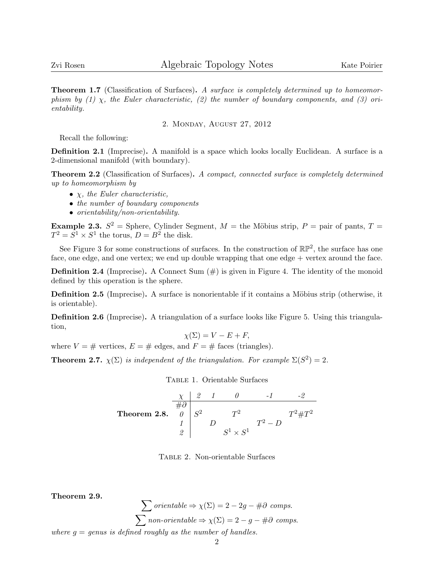**Theorem 1.7** (Classification of Surfaces). A surface is completely determined up to homeomorphism by (1)  $\chi$ , the Euler characteristic, (2) the number of boundary components, and (3) orientability.

2. Monday, August 27, 2012

Recall the following:

Definition 2.1 (Imprecise). A manifold is a space which looks locally Euclidean. A surface is a 2-dimensional manifold (with boundary).

**Theorem 2.2** (Classification of Surfaces). A compact, connected surface is completely determined up to homeomorphism by

- $\chi$ , the Euler characteristic,
- the number of boundary components
- orientability/non-orientability.

**Example 2.3.**  $S^2 =$  Sphere, Cylinder Segment,  $M =$  the Möbius strip,  $P =$  pair of pants,  $T =$  $T^2 = S^1 \times S^1$  the torus,  $D = B^2$  the disk.

See Figure 3 for some constructions of surfaces. In the construction of  $\mathbb{RP}^2$ , the surface has one face, one edge, and one vertex; we end up double wrapping that one edge + vertex around the face.

**Definition 2.4** (Imprecise). A Connect Sum  $(\#)$  is given in Figure 4. The identity of the monoid defined by this operation is the sphere.

**Definition 2.5** (Imprecise). A surface is nonorientable if it contains a Möbius strip (otherwise, it is orientable).

Definition 2.6 (Imprecise). A triangulation of a surface looks like Figure 5. Using this triangulation,

 $\chi(\Sigma) = V - E + F$ ,

where  $V = #$  vertices,  $E = #$  edges, and  $F = #$  faces (triangles).

**Theorem 2.7.**  $\chi(\Sigma)$  is independent of the triangulation. For example  $\Sigma(S^2) = 2$ .

Table 1. Orientable Surfaces

Theorem 2.8. χ 2 1 0 -1 -2 #∂ 0 S <sup>2</sup> T <sup>2</sup> T <sup>2</sup>#T 2 <sup>1</sup> D T<sup>2</sup> <sup>−</sup> <sup>D</sup> 2 S <sup>1</sup> <sup>×</sup> <sup>S</sup> 1

Table 2. Non-orientable Surfaces

Theorem 2.9.

 $\sum$  orientable  $\Rightarrow \chi(\Sigma) = 2 - 2g - \#\partial$  comps.  $\sum$  non-orientable  $\Rightarrow \chi(\Sigma) = 2 - g - \#\partial$  comps. where  $g =$  genus is defined roughly as the number of handles.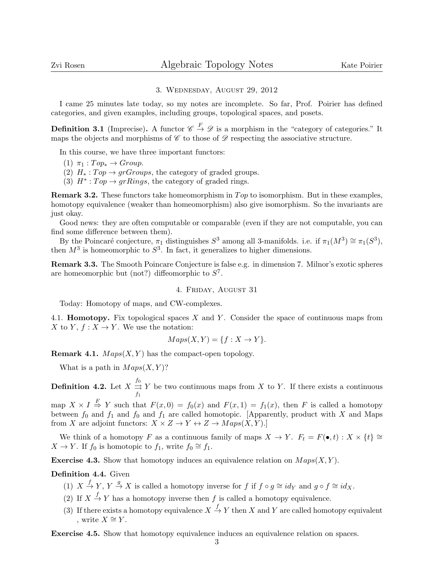### 3. Wednesday, August 29, 2012

I came 25 minutes late today, so my notes are incomplete. So far, Prof. Poirier has defined categories, and given examples, including groups, topological spaces, and posets.

**Definition 3.1** (Imprecise). A functor  $\mathscr{C} \stackrel{F}{\to} \mathscr{D}$  is a morphism in the "category of categories." It maps the objects and morphisms of  $\mathscr C$  to those of  $\mathscr D$  respecting the associative structure.

In this course, we have three important functors:

- (1)  $\pi_1 : Top_* \rightarrow Group.$
- (2)  $H_*: Top \to grGroups$ , the category of graded groups.
- (3)  $H^* : Top \to grRings$ , the category of graded rings.

**Remark 3.2.** These functors take homeomorphism in  $Top$  to isomorphism. But in these examples, homotopy equivalence (weaker than homeomorphism) also give isomorphism. So the invariants are just okay.

Good news: they are often computable or comparable (even if they are not computable, you can find some difference between them).

By the Poincaré conjecture,  $\pi_1$  distinguishes  $S^3$  among all 3-manifolds. i.e. if  $\pi_1(M^3) \cong \pi_1(S^3)$ , then  $M^3$  is homeomorphic to  $S^3$ . In fact, it generalizes to higher dimensions.

Remark 3.3. The Smooth Poincare Conjecture is false e.g. in dimension 7. Milnor's exotic spheres are homeomorphic but (not?) diffeomorphic to  $S^7$ .

### 4. Friday, August 31

Today: Homotopy of maps, and CW-complexes.

4.1. **Homotopy.** Fix topological spaces  $X$  and  $Y$ . Consider the space of continuous maps from X to Y,  $f: X \to Y$ . We use the notation:

$$
Maps(X, Y) = \{f : X \to Y\}.
$$

**Remark 4.1.**  $Maps(X, Y)$  has the compact-open topology.

What is a path in  $Maps(X, Y)$ ?

**Definition 4.2.** Let  $X \stackrel{f_0}{\rightrightarrows} Y$  be two continuous maps from X to Y. If there exists a continuous  $f_1$ 

map  $X \times I \stackrel{F}{\Rightarrow} Y$  such that  $F(x, 0) = f_0(x)$  and  $F(x, 1) = f_1(x)$ , then F is called a homotopy between  $f_0$  and  $f_1$  and  $f_0$  and  $f_1$  are called homotopic. [Apparently, product with X and Maps from X are adjoint functors:  $X \times Z \to Y \leftrightarrow Z \to Maps(X, Y)$ .]

We think of a homotopy F as a continuous family of maps  $X \to Y$ .  $F_t = F(\bullet, t) : X \times \{t\} \cong$  $X \to Y$ . If  $f_0$  is homotopic to  $f_1$ , write  $f_0 \cong f_1$ .

**Exercise 4.3.** Show that homotopy induces an equivalence relation on  $Maps(X, Y)$ .

# Definition 4.4. Given

- (1)  $X \stackrel{f}{\to} Y$ ,  $Y \stackrel{g}{\to} X$  is called a homotopy inverse for f if  $f \circ g \cong id_Y$  and  $g \circ f \cong id_X$ .
- (2) If  $X \stackrel{f}{\rightarrow} Y$  has a homotopy inverse then f is called a homotopy equivalence.
- (3) If there exists a homotopy equivalence  $X \stackrel{f}{\to} Y$  then X and Y are called homotopy equivalent , write  $X \cong Y$ .

Exercise 4.5. Show that homotopy equivalence induces an equivalence relation on spaces.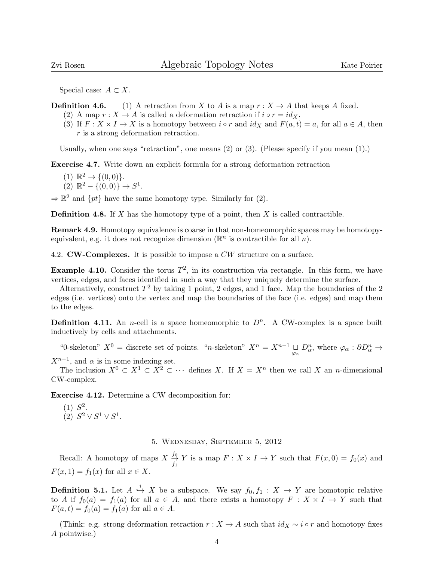Special case:  $A \subset X$ .

**Definition 4.6.** (1) A retraction from X to A is a map  $r : X \to A$  that keeps A fixed.

- (2) A map  $r : X \to A$  is called a deformation retraction if  $i \circ r = id_X$ .
- (3) If  $F: X \times I \to X$  is a homotopy between  $i \circ r$  and  $id_X$  and  $F(a, t) = a$ , for all  $a \in A$ , then r is a strong deformation retraction.

Usually, when one says "retraction", one means  $(2)$  or  $(3)$ . (Please specify if you mean  $(1)$ .)

Exercise 4.7. Write down an explicit formula for a strong deformation retraction

- (1)  $\mathbb{R}^2 \to \{(0,0)\}.$
- $(2) \ \mathbb{R}^2 \{ (0,0) \} \rightarrow S^1.$

 $\Rightarrow \mathbb{R}^2$  and  $\{pt\}$  have the same homotopy type. Similarly for (2).

**Definition 4.8.** If X has the homotopy type of a point, then X is called contractible.

Remark 4.9. Homotopy equivalence is coarse in that non-homeomorphic spaces may be homotopyequivalent, e.g. it does not recognize dimension  $(\mathbb{R}^n$  is contractible for all  $n)$ .

4.2. **CW-Complexes.** It is possible to impose a CW structure on a surface.

**Example 4.10.** Consider the torus  $T^2$ , in its construction via rectangle. In this form, we have vertices, edges, and faces identified in such a way that they uniquely determine the surface.

Alternatively, construct  $T^2$  by taking 1 point, 2 edges, and 1 face. Map the boundaries of the 2 edges (i.e. vertices) onto the vertex and map the boundaries of the face (i.e. edges) and map them to the edges.

**Definition 4.11.** An *n*-cell is a space homeomorphic to  $D^n$ . A CW-complex is a space built inductively by cells and attachments.

"0-skeleton"  $X^0$  = discrete set of points. "n-skeleton"  $X^n = X^{n-1} \underset{\varphi_\alpha}{\sqcup} D^n_\alpha$ , where  $\varphi_\alpha : \partial D^n_\alpha \to$  $X^{n-1}$ , and  $\alpha$  is in some indexing set.

The inclusion  $X^0 \subset X^1 \subset X^2 \subset \cdots$  defines X. If  $X = X^n$  then we call X an *n*-dimensional CW-complex.

Exercise 4.12. Determine a CW decomposition for:

 $(1) S<sup>2</sup>$ . (2)  $S^2 \vee S^1 \vee S^1$ .

5. Wednesday, September 5, 2012

Recall: A homotopy of maps  $X \xrightarrow{f_0} Y$  is a map  $F : X \times I \to Y$  such that  $F(x, 0) = f_0(x)$  and  $F(x, 1) = f_1(x)$  for all  $x \in X$ .

**Definition 5.1.** Let  $A \stackrel{i}{\hookrightarrow} X$  be a subspace. We say  $f_0, f_1 : X \to Y$  are homotopic relative to A if  $f_0(a) = f_1(a)$  for all  $a \in A$ , and there exists a homotopy  $F: X \times I \to Y$  such that  $F(a, t) = f_0(a) = f_1(a)$  for all  $a \in A$ .

(Think: e.g. strong deformation retraction  $r : X \to A$  such that  $id_X \sim i \circ r$  and homotopy fixes A pointwise.)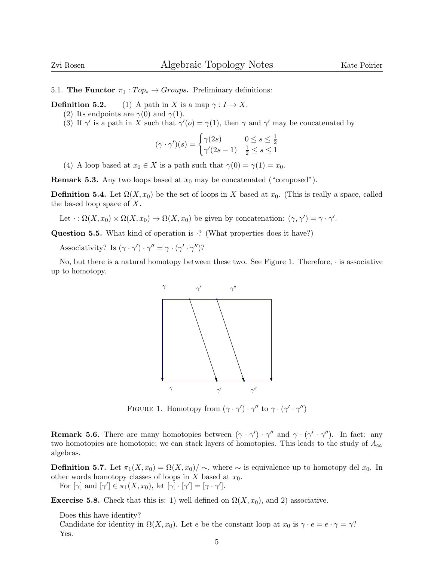5.1. The Functor  $\pi_1 : Top_* \to Groups$ . Preliminary definitions:

**Definition 5.2.** (1) A path in X is a map  $\gamma: I \to X$ .

- (2) Its endpoints are  $\gamma(0)$  and  $\gamma(1)$ .
- (3) If  $\gamma'$  is a path in X such that  $\gamma'(o) = \gamma(1)$ , then  $\gamma$  and  $\gamma'$  may be concatenated by

$$
(\gamma \cdot \gamma')(s) = \begin{cases} \gamma(2s) & 0 \le s \le \frac{1}{2} \\ \gamma'(2s - 1) & \frac{1}{2} \le s \le 1 \end{cases}
$$

(4) A loop based at  $x_0 \in X$  is a path such that  $\gamma(0) = \gamma(1) = x_0$ .

**Remark 5.3.** Any two loops based at  $x_0$  may be concatenated ("composed").

**Definition 5.4.** Let  $\Omega(X, x_0)$  be the set of loops in X based at  $x_0$ . (This is really a space, called the based loop space of X.

Let  $\cdot : \Omega(X, x_0) \times \Omega(X, x_0) \to \Omega(X, x_0)$  be given by concatenation:  $(\gamma, \gamma') = \gamma \cdot \gamma'$ .

**Question 5.5.** What kind of operation is  $\cdot$ ? (What properties does it have?)

Associativity? Is  $(\gamma \cdot \gamma') \cdot \gamma'' = \gamma \cdot (\gamma' \cdot \gamma'')$ ?

No, but there is a natural homotopy between these two. See Figure 1. Therefore,  $\cdot$  is associative up to homotopy.



FIGURE 1. Homotopy from  $(\gamma \cdot \gamma') \cdot \gamma''$  to  $\gamma \cdot (\gamma' \cdot \gamma'')$ 

**Remark 5.6.** There are many homotopies between  $(\gamma \cdot \gamma') \cdot \gamma''$  and  $\gamma \cdot (\gamma' \cdot \gamma'')$ . In fact: any two homotopies are homotopic; we can stack layers of homotopies. This leads to the study of  $A_{\infty}$ algebras.

**Definition 5.7.** Let  $\pi_1(X, x_0) = \Omega(X, x_0) / \sim$ , where  $\sim$  is equivalence up to homotopy del  $x_0$ . In other words homotopy classes of loops in  $X$  based at  $x_0$ . For  $[\gamma]$  and  $[\gamma'] \in \pi_1(X, x_0)$ , let  $[\gamma] \cdot [\gamma'] = [\gamma \cdot \gamma']$ .

**Exercise 5.8.** Check that this is: 1) well defined on  $\Omega(X, x_0)$ , and 2) associative.

Does this have identity? Candidate for identity in  $\Omega(X, x_0)$ . Let e be the constant loop at  $x_0$  is  $\gamma \cdot e = e \cdot \gamma = \gamma$ ? Yes.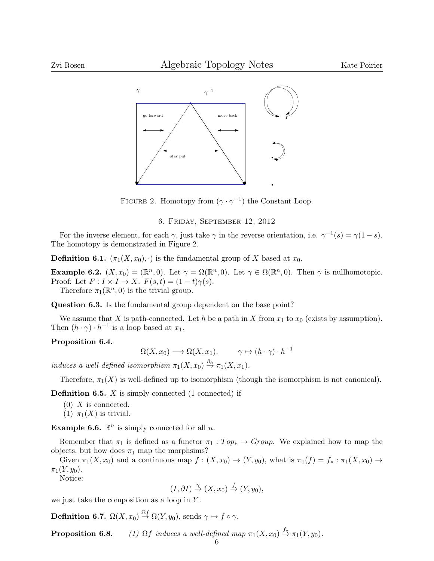

FIGURE 2. Homotopy from  $(\gamma \cdot \gamma^{-1})$  the Constant Loop.

6. Friday, September 12, 2012

For the inverse element, for each  $\gamma$ , just take  $\gamma$  in the reverse orientation, i.e.  $\gamma^{-1}(s) = \gamma(1-s)$ . The homotopy is demonstrated in Figure 2.

**Definition 6.1.**  $(\pi_1(X, x_0), \cdot)$  is the fundamental group of X based at  $x_0$ .

**Example 6.2.**  $(X, x_0) = (\mathbb{R}^n, 0)$ . Let  $\gamma = \Omega(\mathbb{R}^n, 0)$ . Let  $\gamma \in \Omega(\mathbb{R}^n, 0)$ . Then  $\gamma$  is nullhomotopic. Proof: Let  $F: I \times I \to X$ .  $F(s,t) = (1-t)\gamma(s)$ .

Therefore  $\pi_1(\mathbb{R}^n,0)$  is the trivial group.

Question 6.3. Is the fundamental group dependent on the base point?

We assume that X is path-connected. Let h be a path in X from  $x_1$  to  $x_0$  (exists by assumption). Then  $(h \cdot \gamma) \cdot h^{-1}$  is a loop based at  $x_1$ .

## Proposition 6.4.

$$
\Omega(X, x_0) \longrightarrow \Omega(X, x_1). \qquad \gamma \mapsto (h \cdot \gamma) \cdot h^{-1}
$$

induces a well-defined isomorphism  $\pi_1(X, x_0) \stackrel{\beta_h}{\rightarrow} \pi_1(X, x_1)$ .

Therefore,  $\pi_1(X)$  is well-defined up to isomorphism (though the isomorphism is not canonical).

**Definition 6.5.**  $X$  is simply-connected (1-connected) if

- $(0)$  X is connected.
- (1)  $\pi_1(X)$  is trivial.

**Example 6.6.**  $\mathbb{R}^n$  is simply connected for all n.

Remember that  $\pi_1$  is defined as a functor  $\pi_1 : Top_* \to Group$ . We explained how to map the objects, but how does  $\pi_1$  map the morphsims?

Given  $\pi_1(X, x_0)$  and a continuous map  $f : (X, x_0) \to (Y, y_0)$ , what is  $\pi_1(f) = f_* : \pi_1(X, x_0) \to f_*$  $\pi_1(Y, y_0)$ .

Notice:

$$
(I, \partial I) \stackrel{\gamma}{\to} (X, x_0) \stackrel{f}{\to} (Y, y_0),
$$

we just take the composition as a loop in Y.

**Definition 6.7.**  $\Omega(X, x_0) \stackrel{\Omega f}{\rightarrow} \Omega(Y, y_0)$ , sends  $\gamma \mapsto f \circ \gamma$ .

**Proposition 6.8.** (1)  $\Omega f$  induces a well-defined map  $\pi_1(X, x_0) \stackrel{f_*}{\to} \pi_1(Y, y_0)$ .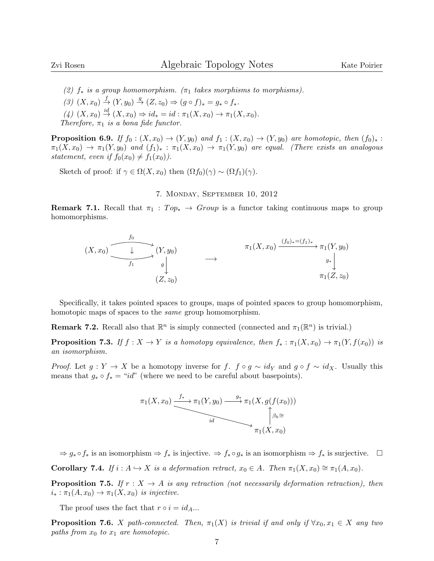(2)  $f_*$  is a group homomorphism. ( $\pi_1$  takes morphisms to morphisms).

- (3)  $(X, x_0) \xrightarrow{f} (Y, y_0) \xrightarrow{g} (Z, z_0) \Rightarrow (g \circ f)_* = g_* \circ f_*$ .
- (4)  $(X, x_0) \stackrel{id}{\to} (X, x_0) \Rightarrow id_* = id : \pi_1(X, x_0) \to \pi_1(X, x_0).$

Therefore,  $\pi_1$  is a bona fide functor.

**Proposition 6.9.** If  $f_0 : (X, x_0) \to (Y, y_0)$  and  $f_1 : (X, x_0) \to (Y, y_0)$  are homotopic, then  $(f_0)_*$ :  $\pi_1(X, x_0) \to \pi_1(Y, y_0)$  and  $(f_1)_*: \pi_1(X, x_0) \to \pi_1(Y, y_0)$  are equal. (There exists an analogous statement, even if  $f_0(x_0) \neq f_1(x_0)$ .

Sketch of proof: if  $\gamma \in \Omega(X, x_0)$  then  $(\Omega f_0)(\gamma) \sim (\Omega f_1)(\gamma)$ .

### 7. Monday, September 10, 2012

**Remark 7.1.** Recall that  $\pi_1 : Top_* \to Group$  is a functor taking continuous maps to group homomorphisms.

$$
(X, x_0) \xrightarrow{f_0} (Y, y_0) \longrightarrow \pi_1(X, x_0) \xrightarrow{f_1(X, x_0) \xrightarrow{(f_0)_*=(f_1)_*} \pi_1(Y, y_0)} \pi_1(Z, z_0)
$$

Specifically, it takes pointed spaces to groups, maps of pointed spaces to group homomorphism, homotopic maps of spaces to the same group homomorphism.

**Remark 7.2.** Recall also that  $\mathbb{R}^n$  is simply connected (connected and  $\pi_1(\mathbb{R}^n)$  is trivial.)

**Proposition 7.3.** If  $f : X \to Y$  is a homotopy equivalence, then  $f_* : \pi_1(X, x_0) \to \pi_1(Y, f(x_0))$  is an isomorphism.

*Proof.* Let  $g: Y \to X$  be a homotopy inverse for f.  $f \circ g \sim id_Y$  and  $g \circ f \sim id_X$ . Usually this means that  $g_* \circ f_* = "id"$  (where we need to be careful about basepoints).



 $\Rightarrow g_* \circ f_*$  is an isomorphism  $\Rightarrow f_*$  is injective.  $\Rightarrow f_* \circ g_*$  is an isomorphism  $\Rightarrow f_*$  is surjective.  $\Box$ **Corollary 7.4.** If  $i : A \hookrightarrow X$  is a deformation retract,  $x_0 \in A$ . Then  $\pi_1(X, x_0) \cong \pi_1(A, x_0)$ .

**Proposition 7.5.** If  $r : X \to A$  is any retraction (not necessarily deformation retraction), then  $i_* : \pi_1(A, x_0) \to \pi_1(X, x_0)$  is injective.

The proof uses the fact that  $r \circ i = id_A...$ 

**Proposition 7.6.** X path-connected. Then,  $\pi_1(X)$  is trivial if and only if  $\forall x_0, x_1 \in X$  any two paths from  $x_0$  to  $x_1$  are homotopic.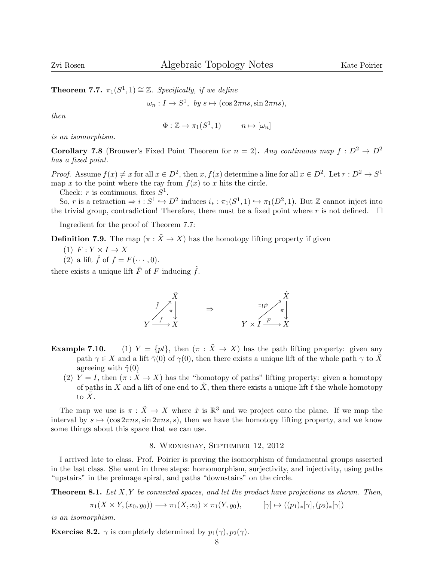**Theorem 7.7.**  $\pi_1(S^1, 1) \cong \mathbb{Z}$ . Specifically, if we define

 $\omega_n: I \to S^1$ , by  $s \mapsto (\cos 2\pi n s, \sin 2\pi n s)$ ,

then

$$
\Phi: \mathbb{Z} \to \pi_1(S^1, 1) \qquad n \mapsto [\omega_n]
$$

is an isomorphism.

**Corollary 7.8** (Brouwer's Fixed Point Theorem for  $n = 2$ ). Any continuous map  $f : D^2 \to D^2$ has a fixed point.

*Proof.* Assume  $f(x) \neq x$  for all  $x \in D^2$ , then  $x, f(x)$  determine a line for all  $x \in D^2$ . Let  $r : D^2 \to S^1$ map x to the point where the ray from  $f(x)$  to x hits the circle.

Check: r is continuous, fixes  $S^1$ .

So, r is a retraction  $\Rightarrow i: S^1 \hookrightarrow D^2$  induces  $i_*: \pi_1(S^1, 1) \hookrightarrow \pi_1(D^2, 1)$ . But Z cannot inject into the trivial group, contradiction! Therefore, there must be a fixed point where r is not defined.  $\square$ 

Ingredient for the proof of Theorem 7.7:

**Definition 7.9.** The map  $(\pi : \tilde{X} \to X)$  has the homotopy lifting property if given

(1)  $F: Y \times I \rightarrow X$ 

(2) a lift  $\tilde{f}$  of  $f = F(\cdots, 0)$ .

there exists a unique lift  $\tilde{F}$  of F inducing  $\tilde{f}$ .



- **Example 7.10.** (1)  $Y = \{pt\}$ , then  $(\pi : \tilde{X} \to X)$  has the path lifting property: given any path  $\gamma \in X$  and a lift  $\tilde{\gamma}(0)$  of  $\gamma(0)$ , then there exists a unique lift of the whole path  $\gamma$  to  $\tilde{X}$ agreeing with  $\tilde{\gamma}(0)$ 
	- (2)  $Y = I$ , then  $(\pi : X \to X)$  has the "homotopy of paths" lifting property: given a homotopy of paths in X and a lift of one end to  $\tilde{X}$ , then there exists a unique lift f the whole homotopy to  $\overline{X}$ .

The map we use is  $\pi : \tilde{X} \to X$  where  $\tilde{x}$  is  $\mathbb{R}^3$  and we project onto the plane. If we map the interval by  $s \mapsto (\cos 2\pi n s, \sin 2\pi n s, s)$ , then we have the homotopy lifting property, and we know some things about this space that we can use.

## 8. Wednesday, September 12, 2012

I arrived late to class. Prof. Poirier is proving the isomorphism of fundamental groups asserted in the last class. She went in three steps: homomorphism, surjectivity, and injectivity, using paths "upstairs" in the preimage spiral, and paths "downstairs" on the circle.

**Theorem 8.1.** Let  $X, Y$  be connected spaces, and let the product have projections as shown. Then,

$$
\pi_1(X \times Y, (x_0, y_0)) \longrightarrow \pi_1(X, x_0) \times \pi_1(Y, y_0), \qquad [\gamma] \mapsto ((p_1)_*[\gamma], (p_2)_*[\gamma])
$$

is an isomorphism.

**Exercise 8.2.**  $\gamma$  is completely determined by  $p_1(\gamma)$ ,  $p_2(\gamma)$ .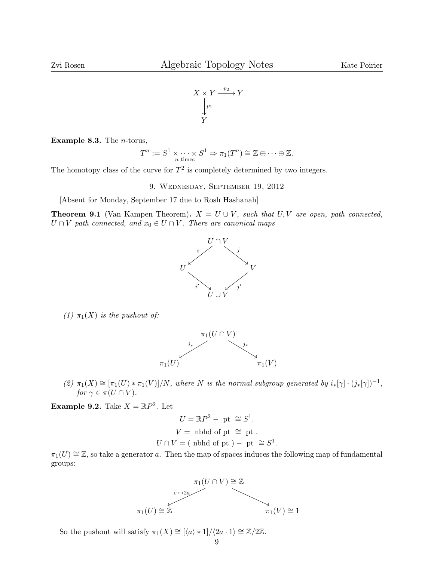

**Example 8.3.** The  $n$ -torus,

$$
T^n := S^1 \times \cdots \times S^1 \Rightarrow \pi_1(T^n) \cong \mathbb{Z} \oplus \cdots \oplus \mathbb{Z}.
$$

The homotopy class of the curve for  $T^2$  is completely determined by two integers.

9. Wednesday, September 19, 2012

[Absent for Monday, September 17 due to Rosh Hashanah]

**Theorem 9.1** (Van Kampen Theorem).  $X = U \cup V$ , such that U, V are open, path connected,  $U \cap V$  path connected, and  $x_0 \in U \cap V$ . There are canonical maps



(1)  $\pi_1(X)$  is the pushout of:



(2)  $\pi_1(X) \cong [\pi_1(U) * \pi_1(V)]/N$ , where N is the normal subgroup generated by  $i_*[\gamma] \cdot (j_*[\gamma])^{-1}$ , for  $\gamma \in \pi(U \cap V)$ .

Example 9.2. Take  $X = \mathbb{R}P^2$ . Let

$$
U = \mathbb{R}P^2 - \text{ pt } \cong S^1.
$$
  

$$
V = \text{ nbhd of pt } \cong \text{ pt }.
$$
  

$$
U \cap V = (\text{ nbhd of pt } ) - \text{ pt } \cong S^1.
$$

 $\pi_1(U) \cong \mathbb{Z}$ , so take a generator a. Then the map of spaces induces the following map of fundamental groups:



So the pushout will satisfy  $\pi_1(X) \cong \left[\langle a \rangle * 1\right] / \langle 2a \cdot 1 \rangle \cong \mathbb{Z}/2\mathbb{Z}$ .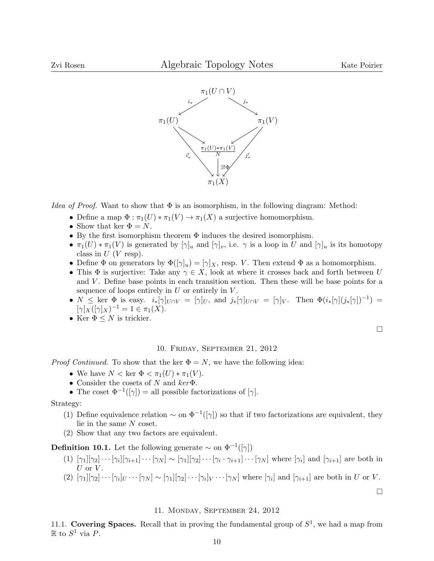

*Idea of Proof.* Want to show that  $\Phi$  is an isomorphism, in the following diagram: Method:

- Define a map  $\Phi : \pi_1(U) * \pi_1(V) \to \pi_1(X)$  a surjective homomorphism.
- Show that ker  $\Phi = N$ .
- By the first isomorphism theorem Φ induces the desired isomorphism.
- $\pi_1(U) * \pi_1(V)$  is generated by  $[\gamma]_u$  and  $[\gamma]_v$ , i.e.  $\gamma$  is a loop in U and  $[\gamma]_u$  is its homotopy class in  $U$  (V resp).
- Define  $\Phi$  on generators by  $\Phi([\gamma]_u) = [\gamma]_X$ , resp. V. Then extend  $\Phi$  as a homomorphism.
- This  $\Phi$  is surjective: Take any  $\gamma \in X$ , look at where it crosses back and forth between U and  $V$ . Define base points in each transition section. Then these will be base points for a sequence of loops entirely in  $U$  or entirely in  $V$ .
- $N \leq \ker \Phi$  is easy.  $i_*[\gamma]_{U \cap V} = [\gamma]_U$ , and  $j_*[\gamma]_{U \cap V} = [\gamma]_V$ . Then  $\Phi(i_*[\gamma](j_*[\gamma])^{-1}) =$  $[\gamma]_X([\gamma]_X)^{-1} = 1 \in \pi_1(X).$
- Ker  $\Phi \leq N$  is trickier.

 $\Box$ 

## 10. Friday, September 21, 2012

*Proof Continued.* To show that the ker  $\Phi = N$ , we have the following idea:

- We have  $N < \text{ker } \Phi < \pi_1(U) * \pi_1(V)$ .
- Consider the cosets of N and  $ker \Phi$ .
- The coset  $\Phi^{-1}([\gamma]) =$  all possible factorizations of  $[\gamma]$ .

#### Strategy:

- (1) Define equivalence relation  $\sim$  on  $\Phi^{-1}([\gamma])$  so that if two factorizations are equivalent, they lie in the same N coset.
- (2) Show that any two factors are equivalent.

**Definition 10.1.** Let the following generate  $\sim$  on  $\Phi^{-1}([\gamma])$ 

- (1)  $[\gamma_1][\gamma_2] \cdots [\gamma_i][\gamma_{i+1}] \cdots [\gamma_N] \sim [\gamma_1][\gamma_2] \cdots [\gamma_i \cdot \gamma_{i+1}] \cdots [\gamma_N]$  where  $[\gamma_i]$  and  $[\gamma_{i+1}]$  are both in  $U$  or  $V$ .
- (2)  $[\gamma_1][\gamma_2]\cdots[\gamma_i]_U\cdots[\gamma_N] \sim [\gamma_1][\gamma_2]\cdots[\gamma_i]_V\cdots[\gamma_N]$  where  $[\gamma_i]$  and  $[\gamma_{i+1}]$  are both in U or V.

 $\Box$ 

## 11. Monday, September 24, 2012

11.1. Covering Spaces. Recall that in proving the fundamental group of  $S^1$ , we had a map from  $\mathbb R$  to  $S^1$  via P.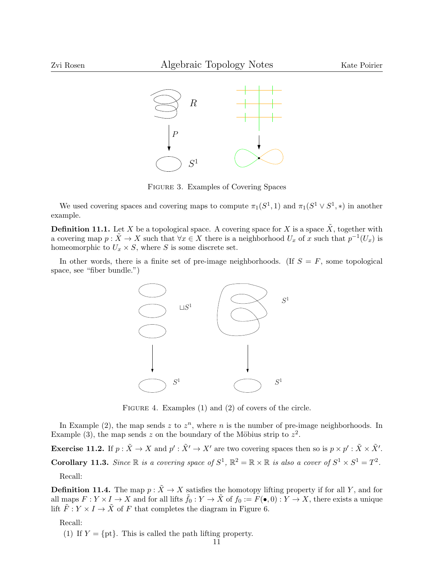

Figure 3. Examples of Covering Spaces

We used covering spaces and covering maps to compute  $\pi_1(S^1, 1)$  and  $\pi_1(S^1 \vee S^1, *)$  in another example.

**Definition 11.1.** Let X be a topological space. A covering space for X is a space  $\tilde{X}$ , together with a covering map  $p : \tilde{X} \to X$  such that  $\forall x \in X$  there is a neighborhood  $U_x$  of x such that  $p^{-1}(U_x)$  is homeomorphic to  $U_x \times S$ , where S is some discrete set.

In other words, there is a finite set of pre-image neighborhoods. (If  $S = F$ , some topological space, see "fiber bundle.")



FIGURE 4. Examples (1) and (2) of covers of the circle.

In Example (2), the map sends z to  $z<sup>n</sup>$ , where n is the number of pre-image neighborhoods. In Example (3), the map sends z on the boundary of the Möbius strip to  $z^2$ .

Exercise 11.2. If  $p : \tilde{X} \to X$  and  $p' : \tilde{X}' \to X'$  are two covering spaces then so is  $p \times p' : \tilde{X} \times \tilde{X}'$ .

**Corollary 11.3.** Since  $\mathbb{R}$  is a covering space of  $S^1$ ,  $\mathbb{R}^2 = \mathbb{R} \times \mathbb{R}$  is also a cover of  $S^1 \times S^1 = T^2$ .

Recall:

**Definition 11.4.** The map  $p : \tilde{X} \to X$  satisfies the homotopy lifting property if for all Y, and for all maps  $F: Y \times I \to X$  and for all lifts  $\tilde{f}_0: Y \to \tilde{X}$  of  $f_0 := F(\bullet, 0): Y \to X$ , there exists a unique lift  $\tilde{F}: Y \times I \to \tilde{X}$  of F that completes the diagram in Figure 6.

Recall:

(1) If  $Y = \{pt\}$ . This is called the path lifting property.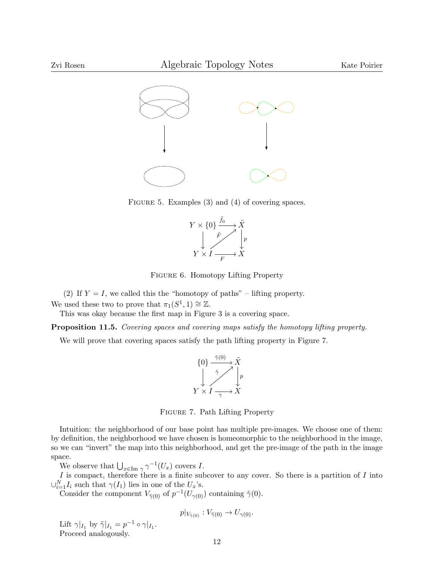

FIGURE 5. Examples (3) and (4) of covering spaces.



Figure 6. Homotopy Lifting Property

(2) If  $Y = I$ , we called this the "homotopy of paths" – lifting property.

We used these two to prove that  $\pi_1(S^1, 1) \cong \mathbb{Z}$ .

This was okay because the first map in Figure 3 is a covering space.

Proposition 11.5. Covering spaces and covering maps satisfy the homotopy lifting property.

We will prove that covering spaces satisfy the path lifting property in Figure 7.



FIGURE 7. Path Lifting Property

Intuition: the neighborhood of our base point has multiple pre-images. We choose one of them: by definition, the neighborhood we have chosen is homeomorphic to the neighborhood in the image, so we can "invert" the map into this neighborhood, and get the pre-image of the path in the image space.

We observe that  $\bigcup_{x\in \text{Im }\gamma} \gamma^{-1}(U_x)$  covers I.

I is compact, therefore there is a finite subcover to any cover. So there is a partition of I into  $\cup_{i=1}^N I_i$  such that  $\gamma(I_1)$  lies in one of the  $U_x$ 's.

Consider the component  $V_{\tilde{\gamma}(0)}$  of  $p^{-1}(U_{\gamma(0)})$  containing  $\tilde{\gamma}(0)$ .

$$
p|_{V_{\tilde{\gamma}(0)}} : V_{\tilde{\gamma}(0)} \to U_{\gamma(0)}.
$$

Lift  $\gamma|_{I_1}$  by  $\tilde{\gamma}|_{I_1} = p^{-1} \circ \gamma|_{I_1}$ . Proceed analogously.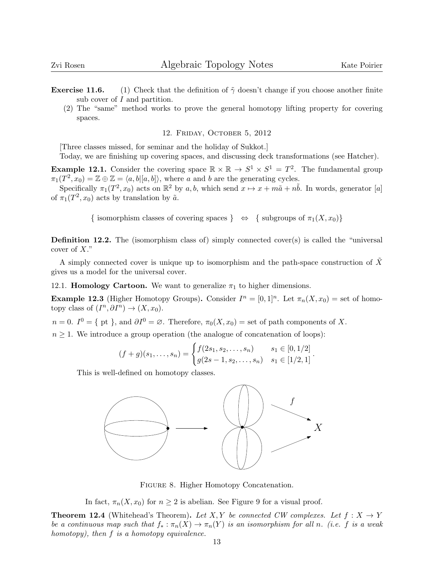**Exercise 11.6.** (1) Check that the definition of  $\tilde{\gamma}$  doesn't change if you choose another finite sub cover of I and partition.

(2) The "same" method works to prove the general homotopy lifting property for covering spaces.

## 12. Friday, October 5, 2012

[Three classes missed, for seminar and the holiday of Sukkot.]

Today, we are finishing up covering spaces, and discussing deck transformations (see Hatcher).

**Example 12.1.** Consider the covering space  $\mathbb{R} \times \mathbb{R} \to S^1 \times S^1 = T^2$ . The fundamental group  $\pi_1(T^2, x_0) = \mathbb{Z} \oplus \mathbb{Z} = \langle a, b | [a, b] \rangle$ , where a and b are the generating cycles.

Specifically  $\pi_1(T^2, x_0)$  acts on  $\mathbb{R}^2$  by a, b, which send  $x \mapsto x + m\tilde{a} + n\tilde{b}$ . In words, generator [a] of  $\pi_1(T^2, x_0)$  acts by translation by  $\tilde{a}$ .

{ isomorphism classes of covering spaces }  $\Leftrightarrow$  { subgroups of  $\pi_1(X, x_0)$ }

**Definition 12.2.** The (isomorphism class of) simply connected cover(s) is called the "universal cover of X."

A simply connected cover is unique up to isomorphism and the path-space construction of  $\tilde{X}$ gives us a model for the universal cover.

12.1. **Homology Cartoon.** We want to generalize  $\pi_1$  to higher dimensions.

**Example 12.3** (Higher Homotopy Groups). Consider  $I^n = [0,1]^n$ . Let  $\pi_n(X, x_0) =$  set of homotopy class of  $(I^n, \partial I^n) \to (X, x_0)$ .

 $n = 0$ .  $I^0 = \{ \text{ pt } \},$  and  $\partial I^0 = \emptyset$ . Therefore,  $\pi_0(X, x_0) = \text{set of path components of } X$ .

 $n \geq 1$ . We introduce a group operation (the analogue of concatenation of loops):

$$
(f+g)(s_1,\ldots,s_n) = \begin{cases} f(2s_1,s_2,\ldots,s_n) & s_1 \in [0,1/2] \\ g(2s-1,s_2,\ldots,s_n) & s_1 \in [1/2,1] \end{cases}.
$$

This is well-defined on homotopy classes.



Figure 8. Higher Homotopy Concatenation.

In fact,  $\pi_n(X, x_0)$  for  $n \geq 2$  is abelian. See Figure 9 for a visual proof.

**Theorem 12.4** (Whitehead's Theorem). Let X, Y be connected CW complexes. Let  $f: X \rightarrow Y$ be a continuous map such that  $f_* : \pi_n(X) \to \pi_n(Y)$  is an isomorphism for all n. (i.e. f is a weak homotopy), then f is a homotopy equivalence.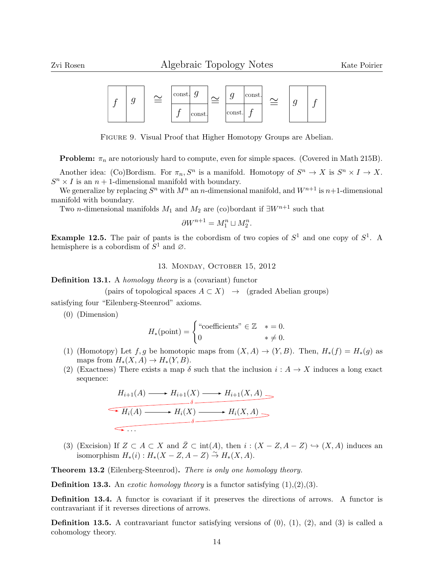

Figure 9. Visual Proof that Higher Homotopy Groups are Abelian.

**Problem:**  $\pi_n$  are notoriously hard to compute, even for simple spaces. (Covered in Math 215B).

Another idea: (Co)Bordism. For  $\pi_n$ ,  $S^n$  is a manifold. Homotopy of  $S^n \to X$  is  $S^n \times I \to X$ .  $S^n \times I$  is an  $n + 1$ -dimensional manifold with boundary.

We generalize by replacing  $S<sup>n</sup>$  with  $M<sup>n</sup>$  an n-dimensional manifold, and  $W<sup>n+1</sup>$  is  $n+1$ -dimensional manifold with boundary.

Two *n*-dimensional manifolds  $M_1$  and  $M_2$  are (co)bordant if  $\exists W^{n+1}$  such that

$$
\partial W^{n+1} = M_1^n \sqcup M_2^n.
$$

**Example 12.5.** The pair of pants is the cobordism of two copies of  $S^1$  and one copy of  $S^1$ . A hemisphere is a cobordism of  $S^1$  and  $\varnothing$ .

13. Monday, October 15, 2012

**Definition 13.1.** A *homology theory* is a (covariant) functor

(pairs of topological spaces 
$$
A \subset X
$$
)  $\rightarrow$  (graded Abelian groups)

satisfying four "Eilenberg-Steenrod" axioms.

(0) (Dimension)

$$
H_*(\text{point}) = \begin{cases} \text{``coefficients''} \in \mathbb{Z} & * = 0. \\ 0 & * \neq 0. \end{cases}
$$

- (1) (Homotopy) Let f, g be homotopic maps from  $(X, A) \rightarrow (Y, B)$ . Then,  $H_*(f) = H_*(g)$  as maps from  $H_*(X, A) \to H_*(Y, B)$ .
- (2) (Exactness) There exists a map  $\delta$  such that the inclusion  $i : A \to X$  induces a long exact sequence:

$$
H_{i+1}(A) \longrightarrow H_{i+1}(X) \longrightarrow H_{i+1}(X, A) \longrightarrow
$$
  
\n
$$
\longrightarrow H_i(A) \longrightarrow H_i(X) \longrightarrow H_i(X, A) \longrightarrow
$$
  
\n
$$
\longleftarrow
$$
  
\n...

(3) (Excision) If  $Z \subset A \subset X$  and  $\overline{Z} \subset \text{int}(A)$ , then  $i : (X - Z, A - Z) \hookrightarrow (X, A)$  induces an isomorphism  $H_*(i): H_*(X-Z, A-Z) \stackrel{\sim}{\to} H_*(X, A).$ 

Theorem 13.2 (Eilenberg-Steenrod). There is only one homology theory.

**Definition 13.3.** An *exotic homology theory* is a functor satisfying  $(1),(2),(3)$ .

Definition 13.4. A functor is covariant if it preserves the directions of arrows. A functor is contravariant if it reverses directions of arrows.

**Definition 13.5.** A contravariant functor satisfying versions of  $(0)$ ,  $(1)$ ,  $(2)$ , and  $(3)$  is called a cohomology theory.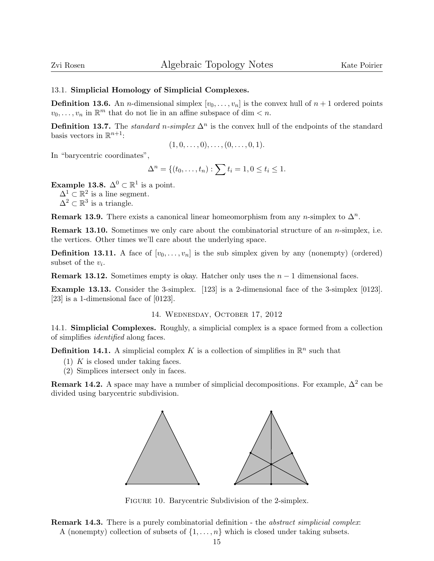## 13.1. Simplicial Homology of Simplicial Complexes.

**Definition 13.6.** An *n*-dimensional simplex  $[v_0, \ldots, v_n]$  is the convex hull of  $n + 1$  ordered points  $v_0, \ldots, v_n$  in  $\mathbb{R}^m$  that do not lie in an affine subspace of dim  $\lt n$ .

**Definition 13.7.** The *standard n-simplex*  $\Delta^n$  is the convex hull of the endpoints of the standard basis vectors in  $\mathbb{R}^{n+1}$ :

$$
(1,0,\ldots,0),\ldots,(0,\ldots,0,1).
$$

In "barycentric coordinates",

$$
\Delta^n = \{(t_0, \ldots, t_n) : \sum t_i = 1, 0 \le t_i \le 1.
$$

**Example 13.8.**  $\Delta^0 \subset \mathbb{R}^1$  is a point.  $\Delta^1 \subset \mathbb{R}^2$  is a line segment.  $\Delta^2 \subset \mathbb{R}^3$  is a triangle.

**Remark 13.9.** There exists a canonical linear homeomorphism from any *n*-simplex to  $\Delta^n$ .

**Remark 13.10.** Sometimes we only care about the combinatorial structure of an  $n$ -simplex, i.e. the vertices. Other times we'll care about the underlying space.

**Definition 13.11.** A face of  $[v_0, \ldots, v_n]$  is the sub simplex given by any (nonempty) (ordered) subset of the  $v_i$ .

**Remark 13.12.** Sometimes empty is okay. Hatcher only uses the  $n - 1$  dimensional faces.

Example 13.13. Consider the 3-simplex. [123] is a 2-dimensional face of the 3-simplex [0123]. [23] is a 1-dimensional face of [0123].

### 14. Wednesday, October 17, 2012

14.1. Simplicial Complexes. Roughly, a simplicial complex is a space formed from a collection of simplifies identified along faces.

**Definition 14.1.** A simplicial complex K is a collection of simplifies in  $\mathbb{R}^n$  such that

- (1)  $K$  is closed under taking faces.
- (2) Simplices intersect only in faces.

**Remark 14.2.** A space may have a number of simplicial decompositions. For example,  $\Delta^2$  can be divided using barycentric subdivision.



FIGURE 10. Barycentric Subdivision of the 2-simplex.

Remark 14.3. There is a purely combinatorial definition - the *abstract simplicial complex*: A (nonempty) collection of subsets of  $\{1, \ldots, n\}$  which is closed under taking subsets.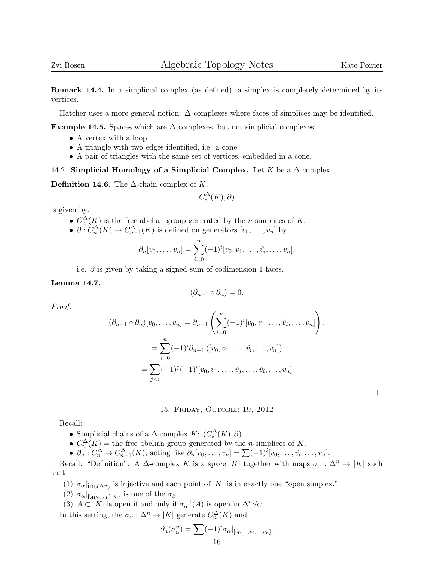Remark 14.4. In a simplicial complex (as defined), a simplex is completely determined by its vertices.

Hatcher uses a more general notion:  $\Delta$ -complexes where faces of simplices may be identified.

Example 14.5. Spaces which are  $\Delta$ -complexes, but not simplicial complexes:

- A vertex with a loop.
- A triangle with two edges identified, i.e. a cone.
- A pair of triangles with the same set of vertices, embedded in a cone.

14.2. Simplicial Homology of a Simplicial Complex. Let K be a  $\Delta$ -complex.

**Definition 14.6.** The  $\Delta$ -chain complex of K,

$$
C^\Delta_*(K),\partial)
$$

is given by:

- $C_n^{\Delta}(K)$  is the free abelian group generated by the *n*-simplices of K.
- $\partial: C_n^{\Delta}(K) \to C_{n-1}^{\Delta}(K)$  is defined on generators  $[v_0, \ldots, v_n]$  by

$$
\partial_n[v_0, \ldots, v_n] = \sum_{i=0}^n (-1)^i [v_0, v_1, \ldots, \hat{v_i}, \ldots, v_n].
$$

i.e.  $\partial$  is given by taking a signed sum of codimension 1 faces.

## Lemma 14.7.

$$
(\partial_{n-1}\circ\partial_n)=0.
$$

Proof.

.

$$
(\partial_{n-1} \circ \partial_n)[v_0, \dots, v_n] = \partial_{n-1} \left( \sum_{i=0}^n (-1)^i [v_0, v_1, \dots, \hat{v}_i, \dots, v_n] \right).
$$
  
= 
$$
\sum_{i=0}^n (-1)^i \partial_{n-1} ([v_0, v_1, \dots, \hat{v}_i, \dots, v_n])
$$
  
= 
$$
\sum_{j
$$

 $\Box$ 

## 15. Friday, October 19, 2012

Recall:

- Simplicial chains of a  $\Delta$ -complex  $K: (C_*^{\Delta}(K), \partial)$ .
- $C_n^{\Delta}(K)$  = the free abelian group generated by the *n*-simplices of K.
- $\partial_n: C_n^{\Delta} \to C_{n-1}^{\Delta}(K)$ , acting like  $\partial_n[v_0, \ldots, v_n] = \sum (-1)^i [v_0, \ldots, \hat{v}_i, \ldots, v_n]$ .

Recall: "Definition": A  $\Delta$ -complex K is a space |K| together with maps  $\sigma_{\alpha} : \Delta^n \to |K|$  such that

- (1)  $\sigma_{\alpha}|_{\text{int}(\Delta^n)}$  is injective and each point of |K| is in exactly one "open simplex."
- (2)  $\sigma_{\alpha}|_{\text{face of }\Delta^n}$  is one of the  $\sigma_{\beta}$ .
- (3)  $A \subset |K|$  is open if and only if  $\sigma_{\alpha}^{-1}(A)$  is open in  $\Delta^{n} \forall \alpha$ .

In this setting, the  $\sigma_{\alpha}: \Delta^n \to |K|$  generate  $C_n^{\Delta}(K)$  and

$$
\partial_n(\sigma^n_{\alpha}) = \sum (-1)^i \sigma_{\alpha}|_{[v_0,\ldots,\hat{v_i},\ldots,v_n]}.
$$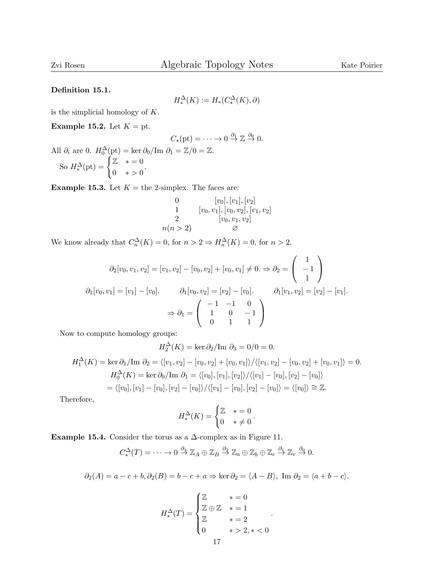## Definition 15.1.

$$
H_*^\Delta(K):=H_*(C_*^\Delta(K),\partial)
$$

is the simplicial homology of  $K$ .

Example 15.2. Let  $K = pt$ .

$$
C_*(\text{pt}) = \cdots \to 0 \stackrel{\partial_1}{\to} \mathbb{Z} \stackrel{\partial_0}{\to} 0.
$$

All  $\partial_i$  are 0.  $H_0^{\Delta}(\text{pt}) = \ker \partial_0 / \text{Im } \partial_1 = \mathbb{Z}/0 = \mathbb{Z}$ . So  $H_*^{\Delta}(\text{pt}) = \begin{cases} \mathbb{Z} & * = 0 \\ 0 & * > 0 \end{cases}$  $0 * > 0$ 

**Example 15.3.** Let  $K =$  the 2-simplex. The faces are:

0 
$$
[v_0], [v_1], [v_2]
$$
  
\n1  $[v_0, v_1], [v_0, v_2], [v_1, v_2]$   
\n2  $[v_0, v_1, v_2]$   
\n $n(n > 2)$   $\varnothing$ 

We know already that  $C_n^{\Delta}(K) = 0$ , for  $n > 2 \Rightarrow H_n^{\Delta}(K) = 0$ , for  $n > 2$ .

$$
\partial_2[v_0, v_1, v_2] = [v_1, v_2] - [v_0, v_2] + [v_0, v_1] \neq 0. \Rightarrow \partial_2 = \begin{pmatrix} 1 \\ -1 \\ 1 \end{pmatrix}
$$

$$
\partial_1[v_0, v_1] = [v_1] - [v_0]. \qquad \partial_1[v_0, v_2] = [v_2] - [v_0]. \qquad \partial_1[v_1, v_2] = [v_2] - [v_1].
$$

$$
\Rightarrow \partial_1 = \begin{pmatrix} -1 & -1 & 0 \\ 1 & 0 & -1 \\ 0 & 1 & 1 \end{pmatrix}
$$

Now to compute homology groups:

$$
H_2^{\Delta}(K) = \ker \partial_2 / \mathrm{Im} \ \partial_3 = 0/0 = 0.
$$

$$
H_1^{\Delta}(K) = \ker \partial_1 / \text{Im } \partial_2 = \langle [v_1, v_2] - [v_0, v_2] + [v_0, v_1] \rangle / \langle [v_1, v_2] - [v_0, v_2] + [v_0, v_1] \rangle = 0.
$$
  
\n
$$
H_0^{\Delta}(K) = \ker \partial_0 / \text{Im } \partial_1 = \langle [v_0], [v_1], [v_2] \rangle / \langle [v_1] - [v_0], [v_2] - [v_0] \rangle
$$
  
\n
$$
= \langle [v_0], [v_1] - [v_0], [v_2] - [v_0] \rangle / \langle [v_1] - [v_0], [v_2] - [v_0] \rangle = \langle [v_0] \rangle \cong \mathbb{Z}.
$$

Therefore,

$$
H_*^{\Delta}(K) = \begin{cases} \mathbb{Z} & * = 0\\ 0 & * \neq 0 \end{cases}
$$

.

.

Example 15.4. Consider the torus as a  $\Delta$ -complex as in Figure 11.

$$
C_*^{\Delta}(T) = \cdots \to 0 \stackrel{\partial_3}{\to} \mathbb{Z}_A \oplus \mathbb{Z}_B \stackrel{\partial_2}{\to} \mathbb{Z}_a \oplus \mathbb{Z}_b \oplus \mathbb{Z}_c \stackrel{\partial_1}{\to} \mathbb{Z}_v \stackrel{\partial_0}{\to} 0.
$$

 $\partial_2(A) = a - c + b, \partial_2(B) = b - c + a \Rightarrow \ker \partial_2 = \langle A - B \rangle$ , Im  $\partial_2 = \langle a + b - c \rangle$ .

$$
H_*^{\Delta}(T) = \begin{cases} \mathbb{Z} & * = 0 \\ \mathbb{Z} \oplus \mathbb{Z} & * = 1 \\ \mathbb{Z} & * = 2 \\ 0 & * > 2, * < 0 \end{cases}
$$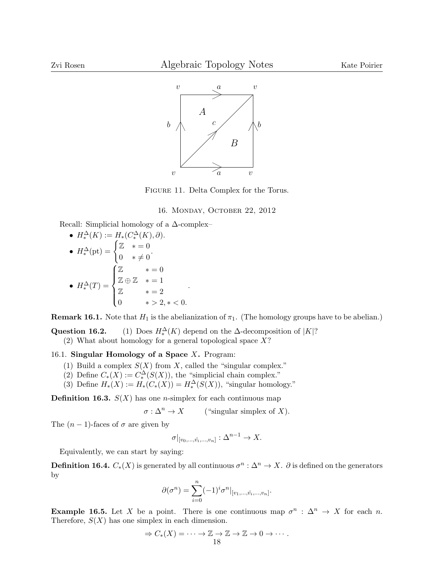

Figure 11. Delta Complex for the Torus.

## 16. Monday, October 22, 2012

Recall: Simplicial homology of a ∆-complex–

• 
$$
H^{\Delta}_{*}(K) := H_{*}(C^{\Delta}_{*}(K), \partial).
$$
  
\n•  $H^{\Delta}_{*}(\text{pt}) = \begin{cases} \mathbb{Z} & * = 0 \\ 0 & * \neq 0 \end{cases}.$   
\n•  $H^{\Delta}_{*}(T) = \begin{cases} \mathbb{Z} & * = 0 \\ \mathbb{Z} \oplus \mathbb{Z} & * = 1 \\ \mathbb{Z} & * = 2 \\ 0 & * > 2, * < 0. \end{cases}.$ 

**Remark 16.1.** Note that  $H_1$  is the abelianization of  $\pi_1$ . (The homology groups have to be abelian.)

Question 16.2.  $\Lambda^{\Delta}(K)$  depend on the  $\Delta$ -decomposition of |K|?

(2) What about homology for a general topological space  $X$ ?

16.1. Singular Homology of a Space  $X$ . Program:

- (1) Build a complex  $S(X)$  from X, called the "singular complex."
- (2) Define  $C_*(X) := C_*^{\Delta}(S(X))$ , the "simplicial chain complex."
- (3) Define  $H_*(X) := H_*(C_*(X)) = H_*^{\Delta}(S(X))$ , "singular homology."

**Definition 16.3.**  $S(X)$  has one *n*-simplex for each continuous map

$$
\sigma: \Delta^n \to X \qquad \text{("singular simplex of } X\text{)}.
$$

The  $(n-1)$ -faces of  $\sigma$  are given by

$$
\sigma|_{[v_0,\ldots,\hat{v_i},\ldots,v_n]} : \Delta^{n-1} \to X.
$$

Equivalently, we can start by saying:

**Definition 16.4.**  $C_*(X)$  is generated by all continuous  $\sigma^n : \Delta^n \to X$ .  $\partial$  is defined on the generators by

$$
\partial(\sigma^n) = \sum_{i=0}^n (-1)^i \sigma^n |_{[v_1,\ldots,\hat{v_i},\ldots,v_n]}.
$$

**Example 16.5.** Let X be a point. There is one continuous map  $\sigma^n$ :  $\Delta^n \to X$  for each n. Therefore,  $S(X)$  has one simplex in each dimension.

$$
\Rightarrow C_*(X) = \cdots \to \mathbb{Z} \to \mathbb{Z} \to \mathbb{Z} \to 0 \to \cdots.
$$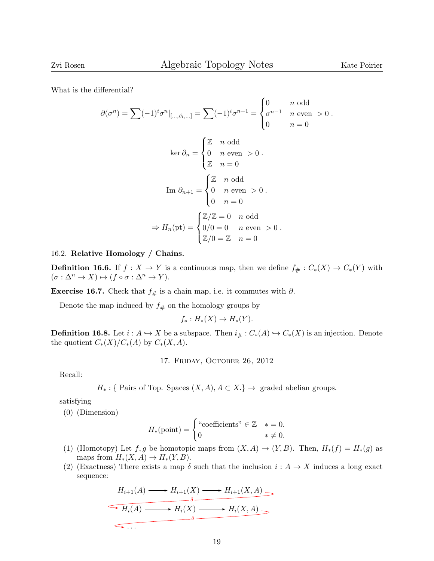What is the differential?

$$
\partial(\sigma^n) = \sum (-1)^i \sigma^n |_{[..., \hat{v_i},...]} = \sum (-1)^i \sigma^{n-1} = \begin{cases} 0 & n \text{ odd} \\ \sigma^{n-1} & n \text{ even } > 0 \\ 0 & n = 0 \end{cases}
$$
  
\n
$$
\ker \partial_n = \begin{cases} \mathbb{Z} & n \text{ odd} \\ 0 & n \text{ even } > 0 \\ \mathbb{Z} & n = 0 \end{cases}
$$
  
\n
$$
\operatorname{Im} \partial_{n+1} = \begin{cases} \mathbb{Z} & n \text{ odd} \\ 0 & n \text{ even } > 0 \\ 0 & n = 0 \end{cases}
$$
  
\n
$$
\Rightarrow H_n(\text{pt}) = \begin{cases} \mathbb{Z}/\mathbb{Z} = 0 & n \text{ odd} \\ 0/0 = 0 & n \text{ even } > 0 \\ \mathbb{Z}/0 = \mathbb{Z} & n = 0 \end{cases}
$$

# 16.2. Relative Homology / Chains.

**Definition 16.6.** If  $f : X \to Y$  is a continuous map, then we define  $f_{\#} : C_*(X) \to C_*(Y)$  with  $(\sigma : \Delta^n \to X) \mapsto (f \circ \sigma : \Delta^n \to Y).$ 

Exercise 16.7. Check that  $f_{#}$  is a chain map, i.e. it commutes with  $\partial$ .

Denote the map induced by  $f_{\#}$  on the homology groups by

$$
f_*: H_*(X) \to H_*(Y).
$$

**Definition 16.8.** Let  $i : A \hookrightarrow X$  be a subspace. Then  $i_{\#} : C_*(A) \hookrightarrow C_*(X)$  is an injection. Denote the quotient  $C_*(X)/C_*(A)$  by  $C_*(X,A)$ .

17. Friday, October 26, 2012

Recall:

$$
H_*:
$$
 { Pairs of Top. Spaces  $(X, A), A \subset X.$ }  $\rightarrow$  graded abelian groups.

satisfying

(0) (Dimension)

$$
H_*(\text{point}) = \begin{cases} \text{``coefficients''} \in \mathbb{Z} & * = 0. \\ 0 & * \neq 0. \end{cases}
$$

- (1) (Homotopy) Let f, g be homotopic maps from  $(X, A) \to (Y, B)$ . Then,  $H_*(f) = H_*(g)$  as maps from  $H_*(X, A) \to H_*(Y, B)$ .
- (2) (Exactness) There exists a map  $\delta$  such that the inclusion  $i : A \to X$  induces a long exact sequence:

$$
H_{i+1}(A) \longrightarrow H_{i+1}(X) \longrightarrow H_{i+1}(X, A) \longrightarrow
$$
  
\n
$$
\xrightarrow{\delta} H_i(A) \longrightarrow H_i(X) \longrightarrow H_i(X, A) \longrightarrow
$$
  
\n
$$
\xrightarrow{\delta} H_i(X, A) \longrightarrow
$$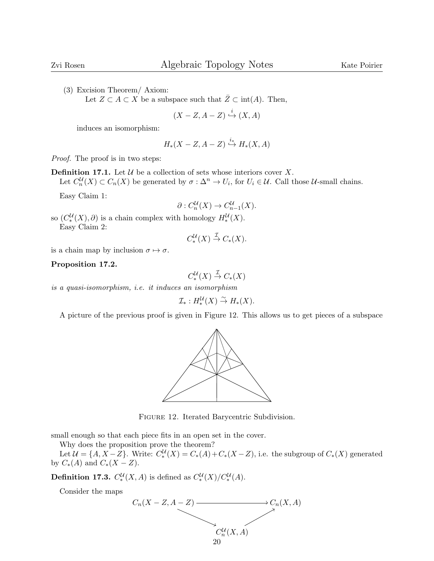(3) Excision Theorem/ Axiom:

Let  $Z \subset A \subset X$  be a subspace such that  $\bar{Z} \subset \text{int}(A)$ . Then,

$$
(X - Z, A - Z) \stackrel{i}{\hookrightarrow} (X, A)
$$

induces an isomorphism:

$$
H_*(X-Z,A-Z)\stackrel{i_*}{\hookrightarrow} H_*(X,A)
$$

Proof. The proof is in two steps:

**Definition 17.1.** Let  $\mathcal U$  be a collection of sets whose interiors cover  $X$ .

Let  $C_n^{\mathcal{U}}(X) \subset C_n(X)$  be generated by  $\sigma : \Delta^n \to U_i$ , for  $U_i \in \mathcal{U}$ . Call those  $\mathcal{U}$ -small chains.

Easy Claim 1:

$$
\partial: C_n^{\mathcal{U}}(X) \to C_{n-1}^{\mathcal{U}}(X).
$$

so  $(C^{\mathcal{U}}_*(X), \partial)$  is a chain complex with homology  $H_*^{\mathcal{U}}(X)$ . Easy Claim 2:

$$
C_*^{\mathcal{U}}(X) \stackrel{\mathcal{I}}{\to} C_*(X).
$$

is a chain map by inclusion  $\sigma \mapsto \sigma$ .

### Proposition 17.2.

$$
C_*^{\mathcal{U}}(X) \stackrel{\mathcal{I}}{\to} C_*(X)
$$

is a quasi-isomorphism, i.e. it induces an isomorphism

$$
\mathcal{I}_*: H^{\mathcal{U}}_*(X) \overset{\sim}{\to} H_*(X).
$$

A picture of the previous proof is given in Figure 12. This allows us to get pieces of a subspace



Figure 12. Iterated Barycentric Subdivision.

small enough so that each piece fits in an open set in the cover.

Why does the proposition prove the theorem?

Let  $\mathcal{U} = \{A, X - Z\}$ . Write:  $C^{\mathcal{U}}_*(X) = C_*(A) + C_*(X - Z)$ , i.e. the subgroup of  $C_*(X)$  generated by  $C_*(A)$  and  $C_*(X - Z)$ .

**Definition 17.3.**  $C_*^{\mathcal{U}}(X, A)$  is defined as  $C_*^{\mathcal{U}}(X)/C_*^{\mathcal{U}}(A)$ .

Consider the maps

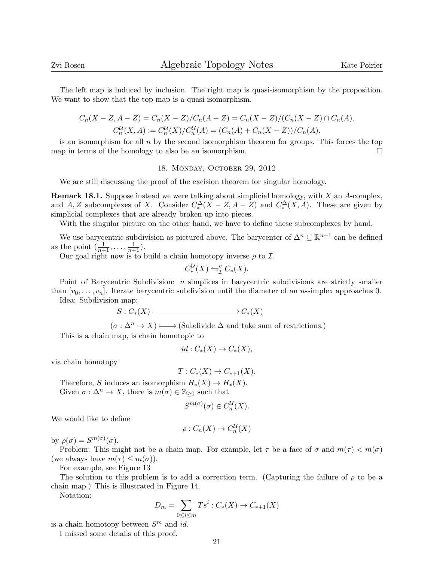The left map is induced by inclusion. The right map is quasi-isomorphism by the proposition. We want to show that the top map is a quasi-isomorphism.

$$
C_n(X - Z, A - Z) = C_n(X - Z)/C_n(A - Z) = C_n(X - Z)/(C_n(X - Z) \cap C_n(A).
$$
  
\n
$$
C_n^{\mathcal{U}}(X, A) := C_n^{\mathcal{U}}(X)/C_n^{\mathcal{U}}(A) = (C_n(A) + C_n(X - Z))/C_n(A).
$$

is an isomorphism for all  $n$  by the second isomorphism theorem for groups. This forces the top map in terms of the homology to also be an isomorphism.  $\Box$ 

#### 18. Monday, October 29, 2012

We are still discussing the proof of the excision theorem for singular homology.

**Remark 18.1.** Suppose instead we were talking about simplicial homology, with  $X$  an  $A$ -complex, and A, Z subcomplexes of X. Consider  $C_*^{\Delta}(X - Z, A - Z)$  and  $C_*^{\Delta}(X, A)$ . These are given by simplicial complexes that are already broken up into pieces.

With the singular picture on the other hand, we have to define these subcomplexes by hand.

We use barycentric subdivision as pictured above. The barycenter of  $\Delta^n \subseteq \mathbb{R}^{n+1}$  can be defined as the point  $\left(\frac{1}{n+1}, \ldots, \frac{1}{n+1}\right)$ .

Our goal right now is to build a chain homotopy inverse  $\rho$  to  $\mathcal{I}.$ 

$$
C_*^{\mathcal{U}}(X) \leftrightharpoons^{\rho}_{\mathcal{I}} C_*(X).
$$

Point of Barycentric Subdivision: n simplices in barycentric subdivisions are strictly smaller than  $[v_0, \ldots, v_n]$ . Iterate barycentric subdivision until the diameter of an *n*-simplex approaches 0.

Idea: Subdivision map:

$$
S:C_{*}(X) \xrightarrow{\qquad \qquad } C_{*}(X)
$$

 $(\sigma : \Delta^n \to X) \longmapsto$  (Subdivide  $\Delta$  and take sum of restrictions.) ✤

This is a chain map, is chain homotopic to

$$
id: C_*(X) \to C_*(X),
$$

via chain homotopy

$$
T: C_*(X) \to C_{*+1}(X).
$$
Therefore, S induces an isomorphism  $H_*(X) \to H_*(X)$ .

Given  $\sigma : \Delta^n \to X$ , there is  $m(\sigma) \in \mathbb{Z}_{\geq 0}$  such that

$$
S^{m(\sigma)}(\sigma) \in C_n^{\mathcal{U}}(X).
$$

We would like to define

$$
\rho: C_n(X) \to C_n^{\mathcal{U}}(X)
$$

by  $\rho(\sigma) = S^{m(\sigma)}(\sigma)$ .

Problem: This might not be a chain map. For example, let  $\tau$  be a face of  $\sigma$  and  $m(\tau) < m(\sigma)$ (we always have  $m(\tau) \leq m(\sigma)$ ).

For example, see Figure 13

The solution to this problem is to add a correction term. (Capturing the failure of  $\rho$  to be a chain map.) This is illustrated in Figure 14.

Notation:

$$
D_m = \sum_{0 \le i \le m} T s^i : C_*(X) \to C_{*+1}(X)
$$

is a chain homotopy between  $S^m$  and id.

I missed some details of this proof.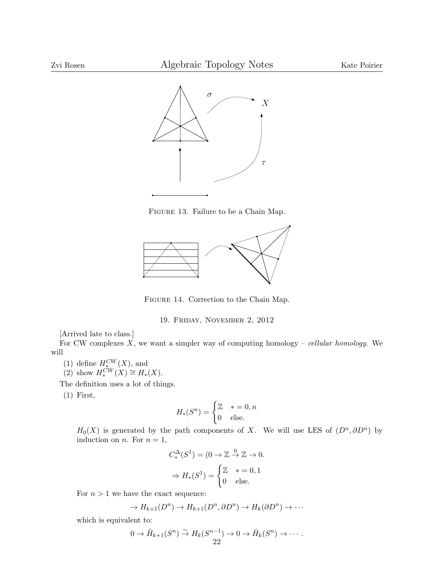

Figure 13. Failure to be a Chain Map.



Figure 14. Correction to the Chain Map.

19. Friday, November 2, 2012

[Arrived late to class.]

For CW complexes  $X$ , we want a simpler way of computing homology – cellular homology. We will

(1) define  $H_{\star}^{CW}(X)$ , and

(2) show  $H_*^{CW}(X) \cong H_*(X)$ .

The definition uses a lot of things.

(1) First,

$$
H_*(S^n) = \begin{cases} \mathbb{Z} & * = 0, n \\ 0 & \text{else.} \end{cases}
$$

 $H_0(X)$  is generated by the path components of X. We will use LES of  $(D^n, \partial D^n)$  by induction on *n*. For  $n = 1$ ,

$$
C_*^{\Delta}(S^1) = (0 \to \mathbb{Z} \stackrel{0}{\to} \mathbb{Z} \to 0.
$$

$$
\Rightarrow H_*(S^1) = \begin{cases} \mathbb{Z} & * = 0, 1 \\ 0 & \text{else.} \end{cases}
$$

For  $n > 1$  we have the exact sequence:

$$
\to H_{k+1}(D^n) \to H_{k+1}(D^n, \partial D^n) \to H_k(\partial D^n) \to \cdots
$$

which is equivalent to:

$$
0 \to \tilde{H}_{k+1}(S^n) \overset{\sim}{\to} H_k(S^{n-1}) \to 0 \to \tilde{H}_k(S^n) \to \cdots
$$
  
22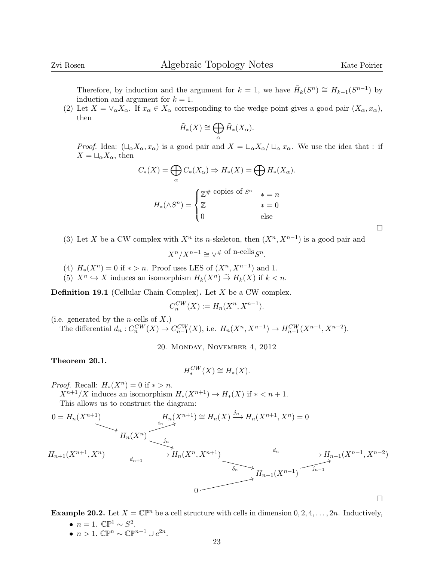$\Box$ 

Therefore, by induction and the argument for  $k = 1$ , we have  $\tilde{H}_k(S^n) \cong H_{k-1}(S^{n-1})$  by induction and argument for  $k = 1$ .

(2) Let  $X = \vee_{\alpha} X_{\alpha}$ . If  $x_{\alpha} \in X_{\alpha}$  corresponding to the wedge point gives a good pair  $(X_{\alpha}, x_{\alpha})$ , then

$$
\tilde{H}_*(X) \cong \bigoplus_{\alpha} \tilde{H}_*(X_{\alpha}).
$$

*Proof.* Idea:  $(\Box_{\alpha} X_{\alpha}, x_{\alpha})$  is a good pair and  $X = \Box_{\alpha} X_{\alpha}/ \Box_{\alpha} x_{\alpha}$ . We use the idea that : if  $X = \sqcup_{\alpha} X_{\alpha}$ , then

$$
C_*(X) = \bigoplus_{\alpha} C_*(X_{\alpha}) \Rightarrow H_*(X) = \bigoplus_{\alpha} H_*(X_{\alpha}).
$$

$$
H_*(\wedge S^n) = \begin{cases} \mathbb{Z}^{\#} & \text{copies of } S^n & * = n \\ \mathbb{Z} & * = 0 \\ 0 & \text{else} \end{cases}
$$

(3) Let X be a CW complex with  $X^n$  its n-skeleton, then  $(X^n, X^{n-1})$  is a good pair and

 $X^n/X^{n-1} \cong \vee^{\# \text{ of } n\text{-cells}} S^n.$ 

- (4)  $H_*(X^n) = 0$  if  $* > n$ . Proof uses LES of  $(X^n, X^{n-1})$  and 1.
- (5)  $X^n \hookrightarrow X$  induces an isomorphism  $H_k(X^n) \stackrel{\sim}{\to} H_k(X)$  if  $k < n$ .

**Definition 19.1** (Cellular Chain Complex). Let  $X$  be a CW complex.

$$
C_n^{CW}(X) := H_n(X^n, X^{n-1}).
$$

(i.e. generated by the *n*-cells of  $X$ .)

The differential  $d_n: C_n^{CW}(X) \to C_{n-1}^{CW}(X)$ , i.e.  $H_n(X^n, X^{n-1}) \to H_{n-1}^{CW}(X^{n-1}, X^{n-2})$ .

20. Monday, November 4, 2012

## Theorem 20.1.

$$
H_*^{CW}(X) \cong H_*(X).
$$

*Proof.* Recall:  $H_*(X^n) = 0$  if  $* > n$ .

 $X^{n+1}/X$  induces an isomorphism  $H_*(X^{n+1}) \to H_*(X)$  if  $* < n+1$ .

This allows us to construct the diagram:

$$
0 = H_n(X^{n+1})
$$
\n
$$
H_n(X^n)
$$
\n
$$
H_n(X^n)
$$
\n
$$
H_n(X^n)
$$
\n
$$
H_n(X^n)
$$
\n
$$
H_n(X^n)
$$
\n
$$
H_n(X^n, X^{n+1})
$$
\n
$$
H_{n-1}(X^{n-1}, X^n)
$$
\n
$$
H_{n-1}(X^{n-1}, X^{n-2})
$$
\n
$$
H_{n-1}(X^{n-1})
$$
\n
$$
H_{n-1}(X^{n-1})
$$
\n
$$
H_{n-1}(X^{n-1})
$$
\n
$$
H_{n-1}(X^{n-1})
$$

**Example 20.2.** Let  $X = \mathbb{C}\mathbb{P}^n$  be a cell structure with cells in dimension  $0, 2, 4, \ldots, 2n$ . Inductively,

- $n = 1$ .  $\mathbb{CP}^1 \sim S^2$ .
- $n > 1$ .  $\mathbb{CP}^n \sim \mathbb{CP}^{n-1} \cup e^{2n}$ .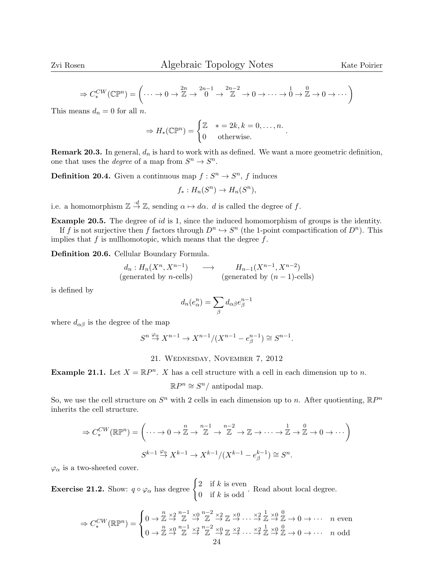$$
\Rightarrow C_*^{CW}(\mathbb{CP}^n) = \left(\dots \to 0 \to \mathbb{Z} \to \begin{matrix} 2n & 2n-1 \\ 0 & \to \mathbb{Z} \end{matrix} \to \begin{matrix} 2n-2 \\ \mathbb{Z} \end{matrix} \to 0 \to \dots \to \begin{matrix} 1 & 0 \\ 0 & \to \mathbb{Z} \end{matrix} \to 0 \to \dots \right)
$$

This means  $d_n = 0$  for all n.

$$
\Rightarrow H_*(\mathbb{CP}^n) = \begin{cases} \mathbb{Z} & * = 2k, k = 0, \dots, n. \\ 0 & \text{otherwise.} \end{cases}
$$

**Remark 20.3.** In general,  $d_n$  is hard to work with as defined. We want a more geometric definition, one that uses the *degree* of a map from  $S^n \to S^n$ .

**Definition 20.4.** Given a continuous map  $f: S^n \to S^n$ , f induces

$$
f_*: H_n(S^n) \to H_n(S^n),
$$

i.e. a homomorphism  $\mathbb{Z} \stackrel{\cdot d}{\rightarrow} \mathbb{Z}$ , sending  $\alpha \mapsto d\alpha$ . d is called the degree of f.

Example 20.5. The degree of id is 1, since the induced homomorphism of groups is the identity.

If f is not surjective then f factors through  $D^n \hookrightarrow S^n$  (the 1-point compactification of  $D^n$ ). This implies that  $f$  is nullhomotopic, which means that the degree  $f$ .

Definition 20.6. Cellular Boundary Formula.

$$
d_n: H_n(X^n, X^{n-1}) \longrightarrow H_{n-1}(X^{n-1}, X^{n-2})
$$
  
(generated by *n*-cells) (generated by  $(n-1)$ -cells)

is defined by

$$
d_n(e_\alpha^n) = \sum_\beta d_{\alpha\beta} e_\beta^{n-1}
$$

where  $d_{\alpha\beta}$  is the degree of the map

$$
S^n\overset{\varphi_\alpha}{\to} X^{n-1}\to X^{n-1}/(X^{n-1}-e_\beta^{n-1})\cong S^{n-1}.
$$

# 21. Wednesday, November 7, 2012

**Example 21.1.** Let  $X = \mathbb{R}P^n$ . X has a cell structure with a cell in each dimension up to n.

 $\mathbb{R}P^n \cong S^n/$  antipodal map.

So, we use the cell structure on  $S<sup>n</sup>$  with 2 cells in each dimension up to n. After quotienting,  $\mathbb{R}P^n$ inherits the cell structure.

$$
\Rightarrow C_*^{CW}(\mathbb{R}\mathbb{P}^n) = \left(\cdots \to 0 \to \mathbb{Z} \to \mathbb{Z} \to \mathbb{Z} \to \mathbb{Z} \to \mathbb{Z} \to \cdots \to \mathbb{Z} \to \mathbb{Z} \to 0 \to \cdots\right)
$$
  

$$
S^{k-1} \stackrel{\varphi_{\alpha}}{\to} X^{k-1} \to X^{k-1}/(X^{k-1} - e_{\beta}^{k-1}) \cong S^n.
$$

 $\varphi_{\alpha}$  is a two-sheeted cover.

**Exercise 21.2.** Show:  $q \circ \varphi_{\alpha}$  has degree  $\begin{cases} 2 & \text{if } k \text{ is even} \\ 0 & \text{if } k \text{ is odd} \end{cases}$  $\frac{2}{\pi}$  if k is odd. Read about local degree.

$$
\Rightarrow C_*^{CW}(\mathbb{R}\mathbb{P}^n) = \begin{cases} 0 \to \mathbb{Z} \stackrel{n}{\to} \mathbb{Z} \stackrel{n-1}{\to} \mathbb{Z} \stackrel{n-2}{\to} \mathbb{Z} \stackrel{\times 2}{\to} \mathbb{Z} \stackrel{n}{\to} \cdots \stackrel{\times 2}{\to} \mathbb{Z} \stackrel{1}{\to} \mathbb{Z} \stackrel{0}{\to} 0 \to \cdots & n \text{ even} \\ 0 \to \mathbb{Z} \stackrel{n}{\to} \mathbb{Z} \stackrel{n-1}{\to} \mathbb{Z} \stackrel{\times 2}{\to} \mathbb{Z} \stackrel{n-2}{\to} \mathbb{Z} \stackrel{\times 0}{\to} \mathbb{Z} \stackrel{\times 2}{\to} \cdots \stackrel{\times 2}{\to} \mathbb{Z} \stackrel{n}{\to} \mathbb{Z} \to 0 \to \cdots & n \text{ odd} \end{cases}
$$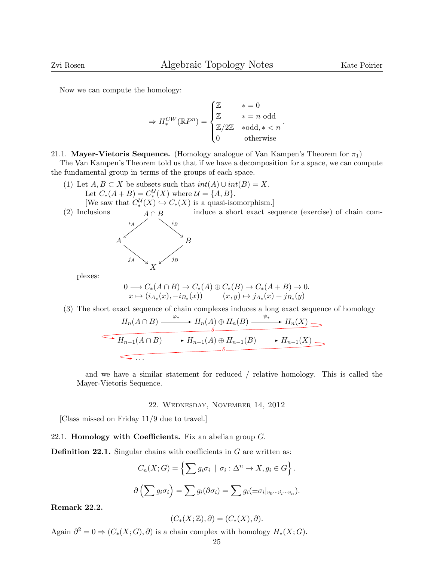Now we can compute the homology:

$$
\Rightarrow H_*^{CW}(\mathbb{R}P^n) = \begin{cases} \mathbb{Z} & * = 0 \\ \mathbb{Z} & * = n \text{ odd} \\ \mathbb{Z}/2\mathbb{Z} & * \text{odd}, * < n \\ 0 & \text{otherwise} \end{cases}.
$$

21.1. Mayer-Vietoris Sequence. (Homology analogue of Van Kampen's Theorem for  $\pi_1$ )

The Van Kampen's Theorem told us that if we have a decomposition for a space, we can compute the fundamental group in terms of the groups of each space.

(1) Let  $A, B \subset X$  be subsets such that  $int(A) \cup int(B) = X$ . Let  $C_*(A + B) = C_*^{\mathcal{U}}(X)$  where  $\mathcal{U} = \{A, B\}.$ 

[We saw that  $C_*^{\mathcal{U}}(X) \hookrightarrow C_*(X)$  is a quasi-isomorphism.] induce a short exact sequence (exercise) of chain com-



plexes:

$$
0 \longrightarrow C_*(A \cap B) \longrightarrow C_*(A) \oplus C_*(B) \longrightarrow C_*(A + B) \longrightarrow 0.
$$
  

$$
x \longmapsto (i_{A_*}(x), -i_{B_*}(x)) \qquad (x, y) \longmapsto j_{A_*}(x) + j_{B_*}(y)
$$

(3) The short exact sequence of chain complexes induces a long exact sequence of homology

$$
H_n(A \cap B) \xrightarrow{\varphi_*} H_n(A) \oplus H_n(B) \xrightarrow{\psi_*} H_n(X) \longrightarrow
$$
  
\n
$$
H_{n-1}(A \cap B) \longrightarrow H_{n-1}(A) \oplus H_{n-1}(B) \longrightarrow H_{n-1}(X) \longrightarrow
$$
  
\n
$$
\longrightarrow \dots
$$

and we have a similar statement for reduced / relative homology. This is called the Mayer-Vietoris Sequence.

#### 22. Wednesday, November 14, 2012

[Class missed on Friday 11/9 due to travel.]

22.1. **Homology with Coefficients.** Fix an abelian group  $G$ .

**Definition 22.1.** Singular chains with coefficients in  $G$  are written as:

$$
C_n(X;G) = \left\{ \sum g_i \sigma_i \mid \sigma_i : \Delta^n \to X, g_i \in G \right\}.
$$

$$
\partial \left( \sum g_i \sigma_i \right) = \sum g_i (\partial \sigma_i) = \sum g_i (\pm \sigma_i|_{v_0 \cdots \hat{v_i} \cdots v_n}).
$$

Remark 22.2.

$$
(C_*(X; \mathbb{Z}), \partial) = (C_*(X), \partial).
$$

Again  $\partial^2 = 0 \Rightarrow (C_*(X; G), \partial)$  is a chain complex with homology  $H_*(X; G)$ .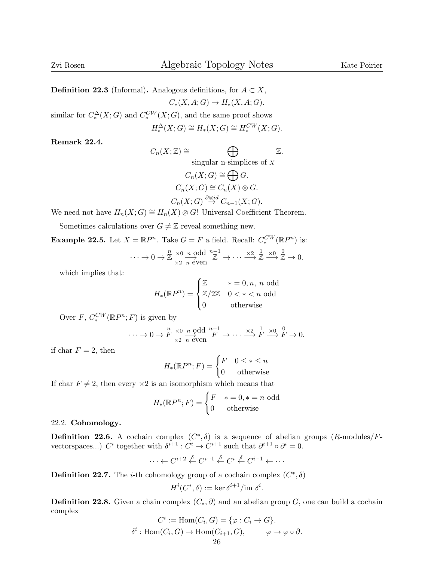**Definition 22.3** (Informal). Analogous definitions, for  $A \subset X$ ,  $C_*(X, A; G) \to H_*(X, A; G).$ similar for  $C_*^{\Delta}(X;G)$  and  $C_*^{CW}(X;G)$ , and the same proof shows

$$
H_*^{\Delta}(X;G) \cong H_*(X;G) \cong H_*^{CW}(X;G).
$$

Remark 22.4.

$$
C_n(X; \mathbb{Z}) \cong \bigoplus_{\text{singular } n\text{-simplices of } X} \mathbb{Z}.
$$

$$
C_n(X;G) \cong \bigoplus G.
$$
  
\n
$$
C_n(X;G) \cong C_n(X) \otimes G.
$$
  
\n
$$
C_n(X;G) \stackrel{\partial \otimes id}{\rightarrow} C_{n-1}(X;G).
$$

We need not have  $H_n(X;G) \cong H_n(X) \otimes G!$  Universal Coefficient Theorem.

Sometimes calculations over  $G \neq \mathbb{Z}$  reveal something new.

**Example 22.5.** Let  $X = \mathbb{R}P^n$ . Take  $G = F$  a field. Recall:  $C_*^{CW}(\mathbb{R}P^n)$  is:

$$
\cdots \to 0 \to \mathbb{Z} \xrightarrow[\times 2]{n} \frac{\text{odd}}{\text{even}} \frac{n-1}{\mathbb{Z}} \to \cdots \xrightarrow[\times 2]{1} \frac{1}{\mathbb{Z}} \xrightarrow[\times 0]{0} \mathbb{Z} \to 0.
$$

which implies that:

$$
H_*(\mathbb{R}P^n) = \begin{cases} \mathbb{Z} & * = 0, n, \ n \text{ odd} \\ \mathbb{Z}/2\mathbb{Z} & 0 < * < n \text{ odd} \\ 0 & \text{otherwise} \end{cases}
$$

Over  $F, C_*^{CW}(\mathbb{R}P^n; F)$  is given by

$$
\cdots \to 0 \to F \underset{\times 2}{\to} \frac{n}{n} \underset{n \text{ even}}{\to} \frac{0 \text{ odd}}{F} \underset{F}{\to} \cdots \underset{\times 2}{\to} \frac{1}{F} \underset{F}{\to} \frac{0}{F} \to 0.
$$

if char  $F = 2$ , then

$$
H_*(\mathbb{R}P^n; F) = \begin{cases} F & 0 \le * \le n \\ 0 & \text{otherwise} \end{cases}
$$

If char  $F \neq 2$ , then every  $\times 2$  is an isomorphism which means that

$$
H_*(\mathbb{R}P^n; F) = \begin{cases} F & * = 0, * = n \text{ odd} \\ 0 & \text{otherwise} \end{cases}
$$

22.2. Cohomology.

**Definition 22.6.** A cochain complex  $(C^*,\delta)$  is a sequence of abelian groups  $(R\text{-modules}/F\text{-limits})$ vectorspaces...)  $C^i$  together with  $\delta^{i+1} : C^i \to C^{i+1}$  such that  $\partial^{i+1} \circ \partial^i = 0$ .

$$
\cdots \leftarrow C^{i+2} \stackrel{\delta}{\leftarrow} C^{i+1} \stackrel{\delta}{\leftarrow} C^i \stackrel{\delta}{\leftarrow} C^{i-1} \leftarrow \cdots
$$

**Definition 22.7.** The *i*-th cohomology group of a cochain complex  $(C^*, \delta)$ 

$$
H^i(C^*,\delta) := \ker \delta^{i+1} / \text{im } \delta^i.
$$

**Definition 22.8.** Given a chain complex  $(C_*, \partial)$  and an abelian group G, one can build a cochain complex

$$
C^i := \text{Hom}(C_i, G) = \{ \varphi : C_i \to G \}.
$$

$$
\delta^i : \text{Hom}(C_i, G) \to \text{Hom}(C_{i+1}, G), \qquad \varphi \mapsto \varphi \circ \partial.
$$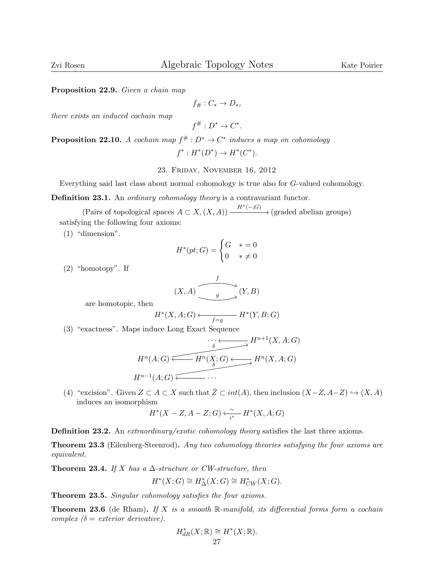Proposition 22.9. Given a chain map

$$
f_{\#}: C_* \to D_*,
$$

there exists an induced cochain map

$$
f^\# : D^* \to C^*.
$$

**Proposition 22.10.** A cochain map  $f^# : D^* \to C^*$  induces a map on cohomology

 $f^*: H^*(D^*) \to H^*(C^*)$ .

23. Friday, November 16, 2012

Everything said last class about normal cohomology is true also for G-valued cohomology.

Definition 23.1. An *ordinary cohomology theory* is a contravariant functor.

(Pairs of topological spaces  $A \subset X, (X, A)) \xrightarrow{H^*(-;G)} (\text{graded abelian groups})$ satisfying the following four axioms:

(1) "dimension".

$$
H^*(pt;G) = \begin{cases} G & * = 0\\ 0 & * \neq 0 \end{cases}
$$

(2) "homotopy". If

$$
(X, A) \xrightarrow{f} (Y, B)
$$

are homotopic, then

$$
H^*(X, A; G) \longleftarrow f=g \qquad H^*(Y, B; G)
$$

(3) "exactness". Maps induce Long Exact Sequence

$$
H^n(A;G) \xrightarrow{\delta} H^{n+1}(X,A;G)
$$
  

$$
H^n(A;G) \xrightarrow{\delta} H^n(X,A;G)
$$
  

$$
H^{n-1}(A;G) \xleftarrow{\bullet} \cdots
$$

(4) "excision". Given  $Z \subset A \subset X$  such that  $\overline{Z} \subset int(A)$ , then inclusion  $(X-Z, A-Z) \hookrightarrow (X, A)$ induces an isomorphism

$$
H^*(X-Z,A-Z;G) \xleftarrow[i^*]{} H^*(X,A;G)
$$

Definition 23.2. An extraordinary/exotic cohomology theory satisfies the last three axioms.

Theorem 23.3 (Eilenberg-Steenrod). Any two cohomology theories satisfying the four axioms are equivalent.

Theorem 23.4. If X has a  $\Delta$ -structure or CW-structure, then

$$
H^*(X;G) \cong H^*_{\Delta}(X;G) \cong H^*_{CW}(X;G).
$$

Theorem 23.5. Singular cohomology satisfies the four axioms.

**Theorem 23.6** (de Rham). If X is a smooth R-manifold, its differential forms form a cochain complex  $\delta =$  exterior derivative).

$$
H^*_{dR}(X; \mathbb{R}) \cong H^*(X; \mathbb{R}).
$$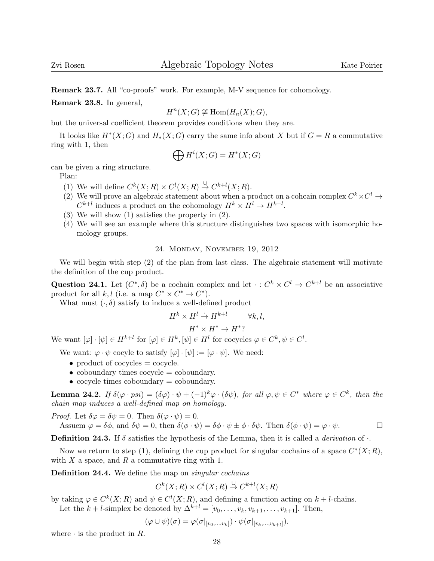Remark 23.7. All "co-proofs" work. For example, M-V sequence for cohomology.

Remark 23.8. In general,

$$
H^n(X;G) \not\cong \text{Hom}(H_n(X);G),
$$

but the universal coefficient theorem provides conditions when they are.

It looks like  $H^*(X;G)$  and  $H_*(X;G)$  carry the same info about X but if  $G = R$  a commutative ring with 1, then

$$
\bigoplus H^i(X;G) = H^*(X;G)
$$

can be given a ring structure.

Plan:

- (1) We will define  $C^k(X;R) \times C^l(X;R) \stackrel{\cup}{\to} C^{k+l}(X;R)$ .
- (2) We will prove an algebraic statement about when a product on a cohcain complex  $C^k \times C^l \to$  $C^{k+l}$  induces a product on the cohomology  $H^k \times H^l \to H^{k+l}$ .
- (3) We will show (1) satisfies the property in (2).
- (4) We will see an example where this structure distinguishes two spaces with isomorphic homology groups.

24. Monday, November 19, 2012

We will begin with step  $(2)$  of the plan from last class. The algebraic statement will motivate the definition of the cup product.

Question 24.1. Let  $(C^*, \delta)$  be a cochain complex and let  $\cdot : C^k \times C^l \to C^{k+l}$  be an associative product for all k, l (i.e. a map  $C^* \times C^* \to C^*$ ).

What must  $(\cdot, \delta)$  satisfy to induce a well-defined product

$$
H^k \times H^l \to H^{k+l} \qquad \forall k, l,
$$
  
\n
$$
H^* \times H^* \to H^{*}
$$
?

We want  $[\varphi] \cdot [\psi] \in H^{k+l}$  for  $[\varphi] \in H^k, [\psi] \in H^l$  for cocycles  $\varphi \in C^k, \psi \in C^l$ .

We want:  $\varphi \cdot \psi$  cocyle to satisfy  $[\varphi] \cdot [\psi] := [\varphi \cdot \psi]$ . We need:

- product of cocycles  $=$  cocycle.
- coboundary times cocycle = coboundary.
- $\bullet$  cocycle times coboundary = coboundary.

**Lemma 24.2.** If  $\delta(\varphi \cdot psi) = (\delta\varphi) \cdot \psi + (-1)^k \varphi \cdot (\delta\psi)$ , for all  $\varphi, \psi \in C^*$  where  $\varphi \in C^k$ , then the chain map induces a well-defined map on homology.

*Proof.* Let  $\delta \varphi = \delta \psi = 0$ . Then  $\delta(\varphi \cdot \psi) = 0$ .

Assuem 
$$
\varphi = \delta\phi
$$
, and  $\delta\psi = 0$ , then  $\delta(\phi \cdot \psi) = \delta\phi \cdot \psi \pm \phi \cdot \delta\psi$ . Then  $\delta(\phi \cdot \psi) = \varphi \cdot \psi$ .

**Definition 24.3.** If  $\delta$  satisfies the hypothesis of the Lemma, then it is called a *derivation* of  $\cdot$ .

Now we return to step (1), defining the cup product for singular cochains of a space  $C^*(X;R)$ , with X a space, and R a commutative ring with 1.

Definition 24.4. We define the map on *singular cochains* 

 $C^k(X;R) \times C^l(X;R) \stackrel{\cup}{\to} C^{k+l}(X;R)$ 

by taking  $\varphi \in C^k(X;R)$  and  $\psi \in C^l(X;R)$ , and defining a function acting on  $k+l$ -chains.

Let the  $k + l$ -simplex be denoted by  $\Delta^{k+l} = [v_0, \ldots, v_k, v_{k+1}, \ldots, v_{k+1}]$ . Then,

$$
(\varphi \cup \psi)(\sigma) = \varphi(\sigma|_{[v_0,\ldots,v_k]}) \cdot \psi(\sigma|_{[v_k,\ldots,v_{k+l}]}).
$$

where  $\cdot$  is the product in R.